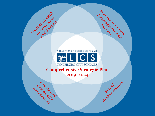

*Pe <sup>r</sup> <sup>s</sup> <sup>o</sup> <sup>n</sup> <sup>n</sup> <sup>e</sup> <sup>l</sup> <sup>G</sup> <sup>r</sup> owt <sup>h</sup> ,*

*<sup>D</sup> <sup>e</sup> <sup>v</sup> <sup>e</sup> <sup>l</sup> <sup>o</sup> <sup>p</sup> <sup>m</sup> <sup>e</sup> <sup>n</sup> <sup>t</sup> <sup>a</sup> <sup>n</sup> <sup>d</sup>*

*<sup>F</sup> <sup>i</sup> <sup>s</sup> <sup>c</sup> <sup>a</sup> <sup>l</sup>*

*<sup>R</sup> <sup>e</sup> <sup>s</sup> <sup>p</sup> <sup>o</sup> <sup>n</sup> <sup>s</sup> <sup>i</sup> <sup>b</sup> ilit <sup>y</sup>*

*S u c c e s s*

*<sup>S</sup> <sup>t</sup> <sup>u</sup> <sup>d</sup> ent <sup>G</sup> <sup>r</sup> owt <sup>h</sup> , De <sup>v</sup> <sup>e</sup> <sup>l</sup> <sup>o</sup> <sup>p</sup> <sup>m</sup> ent*

*and <sup>S</sup> <sup>u</sup> <sup>c</sup> <sup>c</sup> <sup>e</sup> <sup>s</sup> <sup>s</sup>*

*<sup>F</sup> <sup>a</sup> <sup>m</sup> il <sup>y</sup> and*

Commits and **y** 

*Eng a g e m ent*



**Comprehensive Strategic Plan 2019-2024**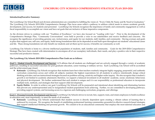

#### **Introduction/Executive Summary:**

The Lynchburg City School Board and division administration are committed to fulfilling the vision of, "Every Child, By Name and By Need to Graduation." The Lynchburg City Schools 2019-2024 Comprehensive Strategic Plan focus areas reflect a pathway to address critical needs to ensure academic growth, development, and success, for students and personnel. Lynchburg City Schools recognizes the importance of family and community engagement as well as fiscal responsibility to accomplish our vision and have set goals that are inclusive of these imperative components.

As the division strives to continue with our "Tradition of Excellence," we have also focused on "Leading with Care." Prior to the development of the Comprehensive Strategic Plan, "Community Conversations" were held to provide a voice to our stakeholders and receive feedback and concerns. We recognize the significance of providing genuine care, inclusiveness, and equity for our students, staff, families, and community. Having avenues and goals in place that support care, self-care, and equity, build strong foundations that can be depended on and built upon throughout our students' educational career and life. These strong foundations not only benefit our students and set them up for success, it benefits our community as well.

Lynchburg City Schools is home to a diverse intellectual population of students, staff, families and community. Goals for the 2019-2024 Comprehensive Strategic Plan have been created with determination to encompass all of our exemplary individuals, their needs, and play a positive role in their respective successful and productive futures.

#### **The Lynchburg City Schools 2019-2024 Comprehensive Plan Goals are as follows:**

*Goal 1 - [Student Growth, Development and Success:](#page-5-0)* LCS affirms that all students are challenged and are actively engaged through a variety of academic pathways, resulting in successful outcomes for post graduate education, career training or military service. Each Lynchburg City School will be accredited and the achievement gap closed.

- **Rationale:** Lynchburg City Schools recognizes that students learn best when teachers routinely integrate highly engaging, purposeful, and authentic curriculum connections across and within all subjects; maintain the highest expectations for all students to achieve; intentionally design critical thinking activities; and use instructional strategies focused on problem-solving, creativity and higher-order inquiry. We also recognize that a student's growth is not limited to academic attainment; therefore, we support a balanced investment in all students' academic, social, emotional, behavioral, and physical development. We further understand that each student is unique and it is our responsibility as professional educators to incorporate multiple tools, methods, and strategies that best support child development.
- **Equity Habits:** In order to achieve our goal, Lynchburg City Schools will be purposeful and intentional about identifying and eliminating barriers that prevent any underrepresented and/or marginalized student populations from achieving. Further, we are committed to developing pathways, providing support systems, and increasing access to a rigorous and challenging curriculum, programs, and offerings.

*Goal 2 - [Personnel Growth, Development and Success:](#page-22-0)* Lynchburg City Schools strives to recruit, hire, support, train, and retain employees to build excellence in education and, most importantly, to meet the needs of all students.

 **Rationale:** Lynchburg City Schools understands that student success is directly dependent upon creating a vibrant culture of learning that is embraced by everyone. We recognize the benefit of establishing professional learning communities grounded in effective research-based strategies that support intellectual thinking and personal growth. We commit to be an educational community that employs the most talented educators and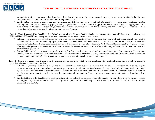

support staff; offers a rigorous, authentic and experiential curriculum; provides numerous and ongoing learning opportunities for families and caregivers, and is led by a supportive, high performing school board.

 **Equity Habits:** In order to achieve our goal, Lynchburg City Schools will be purposeful and intentional by providing every employee with the training and skills needed to craft engaging learning opportunities, create a climate of support and inclusivity, and respond appropriately and effectively to the diverse needs of our staff, students and families. Further, we are committed to applying and demonstrating these effective practices in our day-to-day interactions with colleagues, students, and families.

*Goal 3 – [Fiscal Responsibility:](#page-27-0)* Lynchburg City Schools operates in an efficient, effective, timely, and transparent manner with fiscal responsibility to meet our diverse financial needs and develop resources that advance the educational outcomes of all students.

- **Rationale:** Lynchburg City Schools recognizes and embraces our responsibility to provide safe, clean, and well-maintained educational learning facilities; to hire, mentor and retain high-quality and talented professionals; and to use resources wisely to provide children with opportunities and experiences that enhance their academic, social, emotional, behavioral and physical development. As the demand for more quality programs, services, offerings, and experiences increases, we aim to become more effective at maximizing cost benefits, productivity, efficiency, return on investment, and grant revenue generation.
- **Equity Habits:** In order to achieve our goal, Lynchburg City Schools will be purposeful and intentional about our efforts to ensure that resources (money, time, and talent) are distributed equitably. We also commit to ensuring that any underrepresented and/or marginalized populations (students, staff, and families) have the necessary resources to address the specific needs of our students.

*Goal 4 - [Family and Community Engagement:](#page-34-0)* Lynchburg City Schools purposefully works collaboratively with families, community, and businesses to provide the best education for our students.

- **Rationale:** Lynchburg City Schools recognizes that the schools, families, businesses, and the community share the responsibility of fostering an inspiring, motivating, equitable and engaging learning environment for all students. We also assert that learning should not be confined to or limited by school walls and experiential learning within the community makes up a vital part of a student's education. We welcome families, businesses and the community to partner with us in providing authentic, relevant and enriching learning experiences for our students inside and outside of school.
- **Equity Habits:** In order to achieve our goal, Lynchburg City Schools will be purposeful and intentional about our efforts to invite, include, engage, and support any underrepresented and/or marginalized populations which may include students, staff, families, neighborhoods, and/or communities in our City.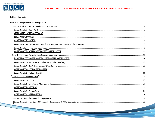

#### **Table of Contents**

| 2019-2024 Comprehensive Strategic Plan                                                                         |  |
|----------------------------------------------------------------------------------------------------------------|--|
|                                                                                                                |  |
|                                                                                                                |  |
|                                                                                                                |  |
|                                                                                                                |  |
|                                                                                                                |  |
|                                                                                                                |  |
|                                                                                                                |  |
|                                                                                                                |  |
|                                                                                                                |  |
|                                                                                                                |  |
| Focus Area 2.2 - Recruitment, Onboarding and Retention manuminum manuminum manuminum manuminum manuminum manum |  |
|                                                                                                                |  |
|                                                                                                                |  |
|                                                                                                                |  |
|                                                                                                                |  |
|                                                                                                                |  |
|                                                                                                                |  |
|                                                                                                                |  |
|                                                                                                                |  |
|                                                                                                                |  |
|                                                                                                                |  |
|                                                                                                                |  |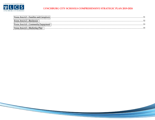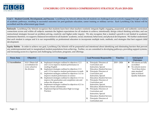<span id="page-5-0"></span>

**Goal 1 – Student Growth, Development, and Success:** Lynchburg City Schools affirms that all students are challenged and are actively engaged through a variety of academic pathways, resulting in successful outcomes for post-graduate education, career training or military service. Each Lynchburg City School will be accredited and the achievement gap closed.

**Rationale:** Lynchburg City Schools recognizes that students learn best when teachers routinely integrate highly engaging, purposeful, and authentic curriculum connections across and within all subjects; maintain the highest expectations for all students to achieve; intentionally design critical thinking activities; and use instructional strategies focused on problem-solving, creativity and higher-order inquiry. We also recognize that a student's growth is not limited to academic attainment; therefore, we support a balanced investment in all students' academic, social, emotional, behavioral, and physical development. We further understand that each student is unique and it is our responsibility as professional educators to incorporate multiple tools, methods, and strategies that best support child development.

**Equity Habits:** In order to achieve our goal, Lynchburg City Schools will be purposeful and intentional about identifying and eliminating barriers that prevent any underrepresented and/or marginalized student populations from achieving. Further, we are committed to developing pathways, providing support systems, and increasing access to a rigorous and challenging curriculum, programs, and offerings.

| <b>Focus Area</b> | Objective         |    | <b>Strategies</b>                                    |    | Lead Person(s) Responsible         | <b>Timeline</b> |   | Anticipated           |
|-------------------|-------------------|----|------------------------------------------------------|----|------------------------------------|-----------------|---|-----------------------|
|                   |                   |    |                                                      |    |                                    |                 |   | <b>Outcomes</b>       |
| 1.1 Accreditation | 1.1.1 Obtain full | A. | Implement strategies outlined in objectives 1.2.1    | A. | Principals, Directors of           | $2019 - 2024$   | ❖ | All schools are fully |
|                   | accreditation for |    | and 1.2.2 to improve student performance in          |    | Curriculum and                     |                 |   | accredited            |
|                   | every school in   |    | reading/English                                      |    | Instruction, Special               |                 | ❖ | No schools receive    |
|                   | the division      | В. | Implement strategies outlined in objectives 1.3.1    |    | <b>Education, Student Services</b> |                 |   | "level three-below"   |
|                   |                   |    | and 1.3.2 to improve student performance in math     | В. | Principals, Directors of           |                 |   | state standard"       |
|                   |                   |    | Implement strategies outlined in objectives 1.4.1 to |    | Curriculum and                     |                 |   | label on School       |
|                   |                   |    | improve student performance in science               |    | Instruction, Special               |                 |   | Quality Indicators    |
|                   |                   | D. | Implement strategies outlined in objectives 1.5.1 to |    | <b>Education, Student Services</b> |                 |   |                       |
|                   |                   |    | improve the graduation and completion rate and       | C. | Principals, Directors of           |                 |   |                       |
|                   |                   |    | reduce the dropout rate                              |    | Curriculum and                     |                 |   |                       |
|                   |                   | Е. | Implement strategies outlined in objectives 4.2.1 to |    | Instruction, Special               |                 |   |                       |
|                   |                   |    | reduce chronic absenteeism                           |    | <b>Education, Student Services</b> |                 |   |                       |
|                   |                   | F. | Implement Special Education High Leverage            | D. | Principals, Directors of           |                 |   |                       |
|                   |                   |    | Practices                                            |    | Curriculum and                     |                 |   |                       |
|                   |                   |    |                                                      |    | Instruction, Special               |                 |   |                       |
|                   |                   |    |                                                      |    | <b>Education, Student Services</b> |                 |   |                       |
|                   |                   |    |                                                      | Е. | Principals, Directors of           |                 |   |                       |
|                   |                   |    |                                                      |    | Curriculum and                     |                 |   |                       |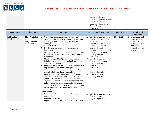<span id="page-6-0"></span>

|  |    | Instruction, Special               |  |
|--|----|------------------------------------|--|
|  |    | <b>Education, Student Services</b> |  |
|  | F. | Director of Special                |  |
|  |    | Education, Supervisors of          |  |
|  |    | Special Education,                 |  |
|  |    | Principals                         |  |

| <b>Focus Area</b>       | Objective                                                                 | <b>Strategies</b>                                                                                                                                                                                                                                                                                                                                                                                                                                                                                                                                                                                                                                                                                                                                                                                                                                                                                                                                                                                                                                                                                                                                                                                                                                                                    | Lead Person(s) Responsible                                                                                                                                                                                                                                                                                                                                                                                                                                                                                                                                                                          | <b>Timeline</b> | Anticipated                                                                                                                |
|-------------------------|---------------------------------------------------------------------------|--------------------------------------------------------------------------------------------------------------------------------------------------------------------------------------------------------------------------------------------------------------------------------------------------------------------------------------------------------------------------------------------------------------------------------------------------------------------------------------------------------------------------------------------------------------------------------------------------------------------------------------------------------------------------------------------------------------------------------------------------------------------------------------------------------------------------------------------------------------------------------------------------------------------------------------------------------------------------------------------------------------------------------------------------------------------------------------------------------------------------------------------------------------------------------------------------------------------------------------------------------------------------------------|-----------------------------------------------------------------------------------------------------------------------------------------------------------------------------------------------------------------------------------------------------------------------------------------------------------------------------------------------------------------------------------------------------------------------------------------------------------------------------------------------------------------------------------------------------------------------------------------------------|-----------------|----------------------------------------------------------------------------------------------------------------------------|
|                         |                                                                           |                                                                                                                                                                                                                                                                                                                                                                                                                                                                                                                                                                                                                                                                                                                                                                                                                                                                                                                                                                                                                                                                                                                                                                                                                                                                                      |                                                                                                                                                                                                                                                                                                                                                                                                                                                                                                                                                                                                     |                 | <b>Outcomes</b>                                                                                                            |
| 1.2 Reading/<br>English | 1.2.1 Obtain full<br>accreditation for<br>every school in<br>the division | Conduct an instructional audit and provide<br>A.<br>division-level resources to promote engaging and<br>SOL-aligned curriculum and programmatic<br>offerings<br><b>Elementary Schools</b><br><b>B.</b> Develop and implement a K-5 balanced literacy<br>framework<br>Work with a consultant to train administrators and<br>C.<br>K-5 teachers on the implementation of the literacy<br>framework<br>Identify five pilot LAB (literacy appreciation<br>D.<br>building) elementary schools to implement onsite<br>coaching and training<br>Review lesson plans and provide targeted feedback<br>Е.<br>regarding balanced literacy strategies<br>Observe teachers and provide targeted feedback<br>F.<br>regarding balanced literacy strategies<br>Review longitudinal, summative, and formative<br>G.<br>data to identify targeted areas of improvement for<br>grade levels, cohorts, and individual students<br>Organize PLCs with a focus on planning common<br>Н.<br>units of study, designing common formative and<br>summative assessments, reviewing data from those<br>assessments, and providing targeted remediation<br>and enrichment<br><b>Middle Schools</b><br>Purchase benchmark level readers for English<br>classrooms<br>Integrate leveled readers into middle school | Director of Curriculum and<br>A.<br>Instruction, Instructional<br>Supervisors<br>Director of Curriculum and<br>В.<br>Instruction, Elementary<br>Literacy Specialist<br>Director of Curriculum and<br>Instruction, Elementary<br>Literacy Specialist,<br>Principals<br>D. Director of Curriculum and<br>Instruction, Elementary<br>Literacy Specialist<br>Е.<br>Principals<br>F.<br>Principals<br>Principals, Elementary<br>G.<br>Literacy Specialist<br>H. Principals, Elementary<br>Literacy Specialist<br>Director of Curriculum and<br>Ι.<br>Instruction, Secondary<br><b>English Supervisor</b> | $2019 - 2024$   | Percentage of all<br>❖<br>students passing<br>the PALS<br>reading/English<br>SOL equals or<br>exceeds the state<br>average |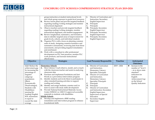

|                                                                                                                                                                                                                                                           | К.<br>L.                                         | group instruction at student instructional levels<br>and whole group exposure to grade-level resources<br>Review lesson plans and provide targeted feedback<br>regarding reading/writing strategies and monitor<br>instructional alignment<br>Observe teachers and provide targeted feedback<br>regarding reading/writing strategies, monitor<br>instructional alignment, and student engagement<br>M. Review longitudinal, summative, and formative<br>data to identify targeted areas of improvement for<br>grade levels, cohorts, and individual students<br>N. Organize PLCs with a focus on planning common<br>units of study, designing common formative and<br>summative assessments, reviewing data from those<br>assessments, and providing targeted remediation<br>and enrichment<br>O. Work with a consultant to offer professional<br>development on PLC best practices, monitor PLC<br>work products, and increase instructional<br>effectiveness | J.<br>К.<br>L.                    | Director of Curriculum and<br>Instruction, Secondary<br><b>English Supervisor</b><br>Principals<br>Principals<br>M. Principals, Secondary<br><b>English Supervisor</b><br>N. Principals, Secondary<br><b>English Supervisor</b><br>O. Principals, Secondary<br><b>English Supervisor</b>                                                                                                  |                 |                                                                                                                                                                       |
|-----------------------------------------------------------------------------------------------------------------------------------------------------------------------------------------------------------------------------------------------------------|--------------------------------------------------|----------------------------------------------------------------------------------------------------------------------------------------------------------------------------------------------------------------------------------------------------------------------------------------------------------------------------------------------------------------------------------------------------------------------------------------------------------------------------------------------------------------------------------------------------------------------------------------------------------------------------------------------------------------------------------------------------------------------------------------------------------------------------------------------------------------------------------------------------------------------------------------------------------------------------------------------------------------|-----------------------------------|-------------------------------------------------------------------------------------------------------------------------------------------------------------------------------------------------------------------------------------------------------------------------------------------------------------------------------------------------------------------------------------------|-----------------|-----------------------------------------------------------------------------------------------------------------------------------------------------------------------|
|                                                                                                                                                                                                                                                           | Objective                                        | <b>Strategies</b>                                                                                                                                                                                                                                                                                                                                                                                                                                                                                                                                                                                                                                                                                                                                                                                                                                                                                                                                              |                                   | Lead Person(s) Responsible                                                                                                                                                                                                                                                                                                                                                                | <b>Timeline</b> | Anticipated<br><b>Outcomes</b>                                                                                                                                        |
| 1.2.2 Reduce the<br>percentage of<br>targeted<br>subgroup<br>populations<br>(Black,<br>Economically<br>Disadvantaged,<br>Students with<br>Disabilities)<br>passing the<br>reading/English<br>SOL assessment<br>to equal or<br>exceed the state<br>average | achievement gap<br>by increasing the<br>В.<br>C. | <b>Elementary Schools</b><br>A. Have Literacy Coach observe, model, and co-teach<br>with the classroom teacher and assist in analyzing<br>classroom data<br>Purchase and implement Fundations and Just<br>Words as a prevention/intervention program<br>Identify students and invite them to participate in<br>other extended learning activities to support<br>reading and writing<br>D. Identify and assign students a mentor and/or<br>tutor to assist with study skills development<br>E. Provide National Instructional Materials Access<br>Center (NIMAC) or AIM-VA approved accessible<br>materials to students with disabilities<br><b>Middle Schools</b><br>F. Develop and implement a RISE reading<br>remediation and intervention program to enhance                                                                                                                                                                                                | <b>B.</b><br>C.<br>D.<br>E.<br>F. | A. Director of Curriculum<br>and Instruction,<br>Elementary Literacy<br>Specialist, Principals<br>Director of Curriculum<br>and Instruction,<br><b>Elementary Literacy</b><br>Specialist, Principals<br>Principals<br>Principals<br>Director of Curriculum<br>and Instruction, Secondary<br>English Supervisor,<br>Supervisors of Special<br>Education<br>Secondary English<br>Supervisor | $2019 - 2024$   | Increase in the<br>❖<br>number of "level 1<br>- at or above state<br>standard"<br>indicators for<br>English<br>Achievement Gap<br>on the School<br>Quality Indicators |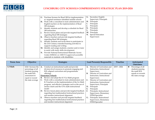<span id="page-8-0"></span>

| Secondary English<br>G.<br>G. Purchase licenses for Read 180 for implementation |
|---------------------------------------------------------------------------------|
| Supervisor, Principals<br>at targeted-assistance identified middle schools      |
| H. Principals<br>Work with a consultant to train administrators and<br>Н.       |
| Principals<br>English teachers on the implementation of Read                    |
| Principals<br>180 strategies                                                    |
| Principals<br>К.<br>Identify students and develop a schedule for Read           |
| Principals<br>180 instruction                                                   |
| M. Principals<br>Review lesson plans and provide targeted feedback              |
| N. Special Education<br>regarding Read 180 strategies                           |
| Supervisors<br>K. Observe teachers and provide targeted feedback                |
| regarding Read 180 strategies                                                   |
| L. Identify students and invite them to participate in                          |
| the 21st Century extended learning activities to                                |
| support reading and writing                                                     |
| M. Identify and assign students a mentor and/or tutor                           |
| to assist with study skills development                                         |
| Provide National Instructional Materials Access<br>N.                           |
| Center (NIMAC) or AIM-VA approved accessible                                    |
| materials to students with disabilities                                         |

| <b>Focus Area</b> | Objective                 |    | <b>Strategies</b>                                   |    | Lead Person(s) Responsible | <b>Timeline</b> |   | Anticipated       |
|-------------------|---------------------------|----|-----------------------------------------------------|----|----------------------------|-----------------|---|-------------------|
|                   |                           |    |                                                     |    |                            |                 |   | <b>Outcomes</b>   |
| 1.3 Math          | <b>1.3.1</b> Increase the | А. | Conduct an instructional audit and provide          | А. | Director of Curriculum and | $2019 - 2024$   | ❖ | Percentage of all |
|                   | percentage of all         |    | division-level resources to promote engaging and    |    | Instruction, Instructional |                 |   | students passing  |
|                   | students passing          |    | SOL-aligned curriculum and programmatic             |    | Supervisors                |                 |   | the math SOL      |
|                   | the math SOL              |    | offerings                                           | В. | Director of Curriculum and |                 |   | equals or exceeds |
|                   | assessment to             |    | <b>Elementary Schools</b>                           |    | Instruction, Instructional |                 |   | the state average |
|                   | equal or exceed           | В. | Review and adopt the K-5 Go Math program            |    | Supervisors                |                 |   |                   |
|                   | the state average         | C. | Work with a consultant to train administrators and  | C. | Director of Curriculum and |                 |   |                   |
|                   |                           |    | K-5 teachers on the implementation of the Go Math   |    | Instruction, Instructional |                 |   |                   |
|                   |                           |    | program and effective strategies such as the use of |    | Supervisors, Principals    |                 |   |                   |
|                   |                           |    | anchor charts and the CPA math instructional        | D. | Principals                 |                 |   |                   |
|                   |                           |    | model                                               | Е. | Principals                 |                 |   |                   |
|                   |                           |    | Review lesson plans and provide targeted feedback   | F. | Principals, Instructional  |                 |   |                   |
|                   |                           |    | regarding best mathematical instructional practices |    | Supervisors, Elementary    |                 |   |                   |
|                   |                           |    | and monitor instructional alignment                 |    | <b>STEM Specialist</b>     |                 |   |                   |
|                   |                           | Е. | Observe teachers and provide targeted feedback      | G. | Principals, Instructional  |                 |   |                   |
|                   |                           |    | regarding best mathematical instructional practices |    | Supervisors, Elementary    |                 |   |                   |
|                   |                           |    | and monitor instructional alignment                 |    | <b>STEM Specialist</b>     |                 |   |                   |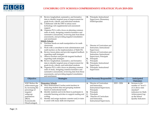

|                                                                                                                                                               | F. | Review longitudinal, summative, and formative<br>data to identify targeted areas of improvement for<br>grade levels, cohorts, and individual students<br>G. Collaborate with the ITRT to infuse more<br>technology-rich supplemental and assessment<br>support<br>H. Organize PLCs with a focus on planning common<br>units of study, designing common formative and<br>summative assessments, reviewing data from those<br>assessments, and providing targeted remediation<br>and enrichment<br><b>Middle Schools</b><br>I. Purchase hands-on math manipulatives for math<br>classrooms<br>Work with a consultant to train administrators and<br>math teachers on the implementation of Math IXL<br>K. Review lesson plans and provide targeted feedback<br>regarding math strategies<br>L. Observe teachers and provide targeted feedback<br>regarding math strategies<br>M. Review longitudinal, summative, and formative<br>data to identify targeted areas of improvement for<br>grade levels, cohorts, and individual students<br>N. Organize PLCs with a focus on planning common<br>units of study, designing common formative and<br>summative assessments, reviewing data from those<br>assessments, and providing targeted remediation<br>and enrichment | I.<br>J.<br>К.<br>L.        | H. Principals, Instructional<br>Supervisors, Elementary<br><b>STEM Specialist</b><br>Director of Curriculum and<br>Instruction, Instructional<br>Supervisors<br>Director of Curriculum and<br>Instruction, Instructional<br>Supervisors, Principals<br>Principals<br>Principals<br>M. Principals, Instructional<br>Supervisors<br>N. Principals, Instructional<br>Supervisors |                 |                                                                                                                                                                 |
|---------------------------------------------------------------------------------------------------------------------------------------------------------------|----|---------------------------------------------------------------------------------------------------------------------------------------------------------------------------------------------------------------------------------------------------------------------------------------------------------------------------------------------------------------------------------------------------------------------------------------------------------------------------------------------------------------------------------------------------------------------------------------------------------------------------------------------------------------------------------------------------------------------------------------------------------------------------------------------------------------------------------------------------------------------------------------------------------------------------------------------------------------------------------------------------------------------------------------------------------------------------------------------------------------------------------------------------------------------------------------------------------------------------------------------------------------------|-----------------------------|-------------------------------------------------------------------------------------------------------------------------------------------------------------------------------------------------------------------------------------------------------------------------------------------------------------------------------------------------------------------------------|-----------------|-----------------------------------------------------------------------------------------------------------------------------------------------------------------|
| Objective                                                                                                                                                     |    | <b>Strategies</b>                                                                                                                                                                                                                                                                                                                                                                                                                                                                                                                                                                                                                                                                                                                                                                                                                                                                                                                                                                                                                                                                                                                                                                                                                                                   |                             | Lead Person(s) Responsible                                                                                                                                                                                                                                                                                                                                                    | <b>Timeline</b> | Anticipated<br><b>Outcomes</b>                                                                                                                                  |
| 1.3.2 Reduce the<br>achievement gap<br>by increasing the<br>percentage of<br>targeted<br>subgroup<br>populations<br>(Black,<br>Economically<br>Disadvantaged, | В. | <b>Elementary Schools</b><br>A. Have Instructional Coaches assist teachers in<br>analyzing student data and grouping students<br>based on instructional needs<br>Identify students and invite them to participate in<br>extended learning activities to support reading and<br>writing<br>C. Identify and assign students a mentor and/or tutor<br>to assist with study skills development                                                                                                                                                                                                                                                                                                                                                                                                                                                                                                                                                                                                                                                                                                                                                                                                                                                                          | А.<br><b>B.</b><br>C.<br>D. | Director of Curriculum<br>and Instruction,<br>Instructional Supervisors,<br>Principals<br>Principals<br>Principals<br>Director of Curriculum<br>and Instruction,<br>Instructional Supervisors,                                                                                                                                                                                | $2019 - 2024$   | Increase in the<br>❖<br>number of "level 1 -<br>at or above state<br>standard"<br>indicators for Math<br>Achievement Gap<br>on the School<br>Quality Indicators |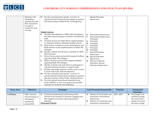<span id="page-10-0"></span>

| Students with    | D. Provide a learning-style specific overview of          | Special Education                      |
|------------------|-----------------------------------------------------------|----------------------------------------|
| Disabilities)    | special education instructional strategies to general     | Supervisors                            |
| passing the math | education teachers (What Works Clearinghouse)             |                                        |
| SOL assessment   |                                                           |                                        |
| to equal or      |                                                           |                                        |
| exceed the state |                                                           |                                        |
| average          |                                                           |                                        |
|                  | <b>Middle Schools</b>                                     |                                        |
|                  | Develop and implement a RISE math remediation             | <b>Instructional Supervisors</b><br>Е. |
|                  | and intervention program to enhance foundational          | Instructional Supervisors,<br>F.       |
|                  | skills                                                    | Principals                             |
|                  | Purchase licenses for Math 180 for implementation<br>F.   | Principals<br>G.                       |
|                  | at targeted-assistance identified middle schools          | Principals<br>H.                       |
|                  | Work with a consultant to train administrators and<br>G.  | Principals<br>I.                       |
|                  | Math teachers on the implementation of Math 180           | Principals                             |
|                  | strategies                                                | К.<br>Principals                       |
|                  | Identify students and develop a schedule for Math<br>Н.   | Special Education                      |
|                  | 180 instruction                                           | Supervisors                            |
|                  | Review lesson plans and provide targeted feedback<br>Ι.   | M. Special Education                   |
|                  | regarding Math 180 strategies                             | Supervisors                            |
|                  | Observe teachers and provide targeted feedback            | Director of Special                    |
|                  | regarding Math 180 strategies                             | Education, Special                     |
|                  | Identify students and invite them to participate in<br>К. | <b>Education Supervisors</b>           |
|                  | extended learning activities to support math              |                                        |
|                  | Identify and assign students a mentor and/or tutor<br>L.  |                                        |
|                  | to assist with study skills development                   |                                        |
|                  | M. Provide a learning-style specific overview of          |                                        |
|                  |                                                           |                                        |
|                  | special education instructional strategies to general     |                                        |
|                  | education teachers (What Works Clearing House)            |                                        |
|                  | Provide national instructional materials access<br>N.     |                                        |
|                  | center (NIMAC or Aim-VA) approved accessible              |                                        |
|                  | materials for students with disabilities                  |                                        |

| <b>Focus Area</b> | Objective                                                                                | <b>Strategies</b>                                                                                                                                                                         | Lead Person(s) Responsible                                                                                                                      | Timeline    | Anticipated<br><b>Outcomes</b>                                                                          |
|-------------------|------------------------------------------------------------------------------------------|-------------------------------------------------------------------------------------------------------------------------------------------------------------------------------------------|-------------------------------------------------------------------------------------------------------------------------------------------------|-------------|---------------------------------------------------------------------------------------------------------|
| 1.4 Science       | <b>1.4.1</b> Increase<br>the percentage of<br>all students<br>passing the<br>science SOL | Conduct an instructional audit and provide<br>А.<br>division-level resources to promote engaging and<br>SOL-aligned curriculum and programmatic<br>offerings<br><b>Elementary Schools</b> | Director of Curriculum and<br>А.<br>Instruction, Instructional<br>Supervisors<br>Director of Curriculum and<br>В.<br>Instruction, Instructional | 2020 - 2024 | Percentage of all<br>❖<br>students passing<br>the science SOL<br>equals or exceeds<br>the state average |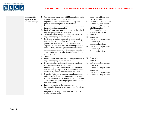

| assessment to     | В. | Work with the elementary STEM specialist to train    |    | Supervisors, Elementary          |  |
|-------------------|----|------------------------------------------------------|----|----------------------------------|--|
| equal or exceed   |    | administrators and K-5 teachers on the               |    | <b>STEM Specialist</b>           |  |
| the state average |    | implementation of student-based inquiry and          | C. | Director of Curriculum and       |  |
|                   |    | process learning aligned to the standards            |    | Instruction, Instructional       |  |
|                   |    | C. Review curriculum and infuse more nonfiction and  |    | Supervisors, Elementary          |  |
|                   |    | informational science readers                        |    | <b>STEM Specialist,</b>          |  |
|                   |    | D. Review lesson plans and provide targeted feedback |    | <b>Elementary Literacy</b>       |  |
|                   |    | regarding inquiry-based strategies                   |    | Specialist, Principals           |  |
|                   | Е. | Observe teachers and provide targeted feedback       | D. | Principals                       |  |
|                   |    | regarding inquiry-based strategies                   | Ε. | Principals                       |  |
|                   |    | F. Review longitudinal, summative, and formative     | F. | Instructional Supervisors,       |  |
|                   |    | data to identify targeted areas of improvement for   |    | <b>Elementary STEM</b>           |  |
|                   |    | grade levels, cohorts, and individual students       |    | Specialist, Principals           |  |
|                   |    | G. Organize PLCs with a focus on planning common     | G. | Instructional Supervisors,       |  |
|                   |    | units of study, designing common formative and       |    |                                  |  |
|                   |    | summative assessments, reviewing data from those     |    | <b>Elementary STEM</b>           |  |
|                   |    | assessments, and providing targeted remediation      |    | Specialist, Principals           |  |
|                   |    | and enrichment                                       |    |                                  |  |
|                   |    | <b>Middle Schools</b>                                |    |                                  |  |
|                   |    | H. Review lesson plans and provide targeted feedback | Н. | Principals                       |  |
|                   |    | regarding inquiry-based strategies                   | Ι. | Principals                       |  |
|                   | I. | Observe teachers and provide targeted feedback       | J. | Instructional Supervisors,       |  |
|                   |    | regarding inquiry-based strategies                   |    | Principals                       |  |
|                   |    | Review longitudinal, summative, and formative        | К. | Instructional Supervisors,       |  |
|                   |    | data to identify targeted areas of improvement for   |    | Principals                       |  |
|                   |    | grade levels, cohorts, and individual students       | L. | <b>Instructional Supervisors</b> |  |
|                   |    | K. Organize PLCs with a focus on planning common     |    | M. Instructional Supervisors     |  |
|                   |    | units of study, designing common formative and       |    |                                  |  |
|                   |    | summative assessments, reviewing data from those     |    |                                  |  |
|                   |    | assessments, and providing targeted remediation      |    |                                  |  |
|                   |    | and enrichment                                       |    |                                  |  |
|                   |    | L. Provide professional development on               |    |                                  |  |
|                   |    | incorporating inquiry-based practices in the science |    |                                  |  |
|                   |    | classroom.                                           |    |                                  |  |
|                   |    | M. Integrate STREAM practices into Tier 1 science    |    |                                  |  |
|                   |    | classroom instruction.                               |    |                                  |  |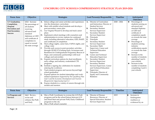<span id="page-12-0"></span>

# **LUCS**<br>EXECUTE SERVICHBURG CITY SCHOOLS COMPREHENSIVE STRATEGIC PLAN 2019-2024

| <b>Focus Area</b>                                                                                      | Objective                                                                                                                                                                                      | <b>Strategies</b>                                                                                                                                                                                                                                                                                                                                                                                                                                                                                                                                                                                                                                                                                                                                                                                                                                                                                                                                                                                                                                                                                                                                                                                                                                                                                                                                                           | <b>Lead Person(s) Responsible</b>                                                                                                                                                                                                                                                                                                                                                                                                                                                                                                                                                                                                                                    | <b>Timeline</b> | Anticipated                                                                                                                                                                                                                                                                                                                                                                                                                                                      |
|--------------------------------------------------------------------------------------------------------|------------------------------------------------------------------------------------------------------------------------------------------------------------------------------------------------|-----------------------------------------------------------------------------------------------------------------------------------------------------------------------------------------------------------------------------------------------------------------------------------------------------------------------------------------------------------------------------------------------------------------------------------------------------------------------------------------------------------------------------------------------------------------------------------------------------------------------------------------------------------------------------------------------------------------------------------------------------------------------------------------------------------------------------------------------------------------------------------------------------------------------------------------------------------------------------------------------------------------------------------------------------------------------------------------------------------------------------------------------------------------------------------------------------------------------------------------------------------------------------------------------------------------------------------------------------------------------------|----------------------------------------------------------------------------------------------------------------------------------------------------------------------------------------------------------------------------------------------------------------------------------------------------------------------------------------------------------------------------------------------------------------------------------------------------------------------------------------------------------------------------------------------------------------------------------------------------------------------------------------------------------------------|-----------------|------------------------------------------------------------------------------------------------------------------------------------------------------------------------------------------------------------------------------------------------------------------------------------------------------------------------------------------------------------------------------------------------------------------------------------------------------------------|
|                                                                                                        |                                                                                                                                                                                                |                                                                                                                                                                                                                                                                                                                                                                                                                                                                                                                                                                                                                                                                                                                                                                                                                                                                                                                                                                                                                                                                                                                                                                                                                                                                                                                                                                             |                                                                                                                                                                                                                                                                                                                                                                                                                                                                                                                                                                                                                                                                      |                 | <b>Outcomes</b>                                                                                                                                                                                                                                                                                                                                                                                                                                                  |
| 1.5 Graduation,<br>Completion,<br>Dropout<br><b>Prevention and</b><br>Post-Secondary<br><b>Success</b> | 1.5.1 Increase<br>the percentage of<br>all students<br>receiving<br>advanced and<br>standard<br>diplomas or GED<br>and certificate of<br>completion to<br>equal or exceed<br>the state average | Infuse college and career activities and experiences<br>A.<br>into the elementary curriculum<br>Meet with middle school students and develop a<br><b>B.</b><br>post-secondary career plan<br>Use Virginia Wizard to develop and track career<br>C.<br>plans<br>Implement cohort meetings with counselors and<br>D.<br>administration to review options for continued<br>study including alternative education, GED, ISAEP,<br>and certificates of completion<br>Host college nights, career fairs, FAFSA nights, and<br>Ε.<br>college visits<br>Provide early access to post-secondary activities<br>F.<br>through GEAR UP (Gaining Early Awareness and<br>Readiness for Undergraduate Programs); Beacon of<br>Hope, and community partnerships with local<br>colleges and universities<br>Expand curriculum options for dual enrollment,<br>G.<br>early college, and industry credentialed CTE<br>programs<br>Institute a signing day celebration for students<br>entering the workforce<br>Track student progress and success beyond high<br>I.<br>school graduation<br>Expand options for student internships and work-<br>J.<br>related experiences Supported by The Lynchburg Plan<br>Goal 1 and the Economic Development and Tourism<br><b>Blueprint for Opportunity Goal 3.2</b><br>Expose students to a variety of careers through role<br>К.<br>models and mentors | A. Director of Curriculum<br>and Instruction, Director of<br><b>Student Services</b><br>Secondary Student<br><b>B.</b><br>Services Supervisor<br>Secondary Student<br>C.<br>Services Supervisor<br>D. Principals<br>Е.<br>Principals<br>F.<br>Secondary Student<br>Services Supervisor<br>G. Secondary Math<br>Supervisor, Career and<br><b>Technical Education</b><br>Supervisor<br>H. Career and Technical<br><b>Education Supervisor</b><br>Secondary Student<br>Ι.<br>Services Supervisor<br>Secondary Student<br>Services Supervisor, Career<br>and Technical Education<br>Supervisor<br>K. Principals, Director of<br><b>Equity and Community</b><br>Relations | $2020 - 2024$   | Percentage of<br>❖<br>students earning an<br>advanced and<br>standard diploma<br>or GED and<br>certificate of<br>completion equals<br>or exceeds the state<br>average<br>❖<br>Percentage of<br>students earning<br>industry<br>certifications equals<br>or exceeds the state<br>average<br>Increase in the<br>❖<br>number of students<br>attending 2 and 4-<br>year schools<br>Increase in the<br>❖<br>number of students<br>completing 2 and 4-<br>year schools |

| <b>Focus Area</b> | <b>Objective</b>                            |           | <b>Strategies</b>                                                                                                                                         | Lead Person(s) Responsible                                                  | Timeline | Anticipated<br><b>Outcomes</b>                  |
|-------------------|---------------------------------------------|-----------|-----------------------------------------------------------------------------------------------------------------------------------------------------------|-----------------------------------------------------------------------------|----------|-------------------------------------------------|
| 1.6 Programs and  | <b>1.6.1</b> Review,                        | A.        | Hire a PreK Coordinator to oversee the LCS PreK                                                                                                           | Director of Human                                                           | 2019     | Increase in                                     |
| <b>Services</b>   | revise and<br>enhance the PreK<br>and Early | <b>B.</b> | programs and be the school liaison between LCS<br>and Head Start and private PreK/Early Childhood<br>programs in the city<br>Hire a PreK school counselor | Resources, Director of<br>Special Education, Student<br>Services Supervisor |          | kindergarten<br>readiness as<br>evidenced by an |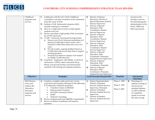

| Childhood<br>programs and<br>services                                                                     | Е.             | C. Collaborate with the City's Early Childhood<br>Committee to increase awareness in the community<br>about the value of PreK<br>D. Institute a PreK Ambassador program which<br>includes training for volunteers<br>Move to a single point of entry to help register                                                                                                                                                                                                                                                                                                                                                                                                                                                                                | <b>B.</b><br>C.              | Director of Human<br>Resources, Director of<br>Special Education, Student<br>Services Supervisor<br>Director of Special<br>Education, PreK<br>Coordinator, Student                                                                                                                                                                                                                                                                                                                                 |                                                 |   | increase in the<br>baseline scores for<br>the fall kindergarten<br>administration of the<br>PALS, VKRP and<br><b>ESGI</b> assessments                     |
|-----------------------------------------------------------------------------------------------------------|----------------|------------------------------------------------------------------------------------------------------------------------------------------------------------------------------------------------------------------------------------------------------------------------------------------------------------------------------------------------------------------------------------------------------------------------------------------------------------------------------------------------------------------------------------------------------------------------------------------------------------------------------------------------------------------------------------------------------------------------------------------------------|------------------------------|----------------------------------------------------------------------------------------------------------------------------------------------------------------------------------------------------------------------------------------------------------------------------------------------------------------------------------------------------------------------------------------------------------------------------------------------------------------------------------------------------|-------------------------------------------------|---|-----------------------------------------------------------------------------------------------------------------------------------------------------------|
|                                                                                                           | F.             | students each year<br>Review and adopt a high-quality PreK curriculum<br>for all VPI classrooms<br>G. CLASS - Classroom Assessment Scoring System<br>Ensure every Pre-K classroom participates in 2<br>a.<br>Internal CLASS observations yearly, and 1<br>External CLASS Observation once every two<br>years.<br><b>b.</b> Provide routine, ongoing feedback based on<br>CLASS observations and other data to support<br>teaching practices.<br>Increase local observer capacity to be trained<br>c.<br>as reliable CLASS observers.<br>H. Frog Street - Implement, with fidelity, in all Pre-K<br>classrooms, a VDOE vetted curriculum (Frog<br>Street), and provide teachers and instructional<br>assistants with training and ongoing assistance. | D.<br>E.<br>F.<br>G.<br>H.   | Services Supervisor<br>Director of Special<br>Education, PreK<br>Coordinator, Student<br>Services Supervisor<br>Director of Special<br>Education, PreK<br>Coordinator, Student<br>Services Supervisor<br>Director of Special<br>Education, PreK<br>Coordinator, Principals,<br><b>Student Services Supervisor</b><br>Director of Special<br>Education, PreK<br>Coordinator, Principals<br>Director of Special<br>Education, PreK<br>Coordinator, Principals,<br><b>Student Services Supervisor</b> |                                                 |   |                                                                                                                                                           |
| Objective                                                                                                 |                | <b>Strategies</b>                                                                                                                                                                                                                                                                                                                                                                                                                                                                                                                                                                                                                                                                                                                                    |                              | Lead Person(s) Responsible                                                                                                                                                                                                                                                                                                                                                                                                                                                                         | <b>Timeline</b>                                 |   | Anticipated<br><b>Outcomes</b>                                                                                                                            |
| <b>1.6.2</b> Review,<br>revise and<br>enhance the<br>Alternative<br>Education<br>programs and<br>services | A.<br>В.<br>C. | Conduct a complete audit and review/revise<br>curriculum and program offerings for the following<br>K-12 alternative education programs:<br><b>Transition Classes at Sheffield</b><br>$\bullet$<br><b>Empowerment Academy</b><br>$\bullet$<br>Fort Hill Community School<br><b>ISAEP</b><br>$\bullet$<br>National Counseling<br>Review program goals and eligibility requirements<br>Review invitation, enrollment, and capacity<br>dynamics                                                                                                                                                                                                                                                                                                         | <b>A.</b><br><b>B.</b><br>C. | Deputy Superintendent,<br>Director of Student<br>Services, Student Services<br>Supervisor, Principals<br>Director of Student<br>Services, Student Services<br>Supervisor<br>Director of Student<br>Services, Student Services<br>Supervisor                                                                                                                                                                                                                                                        | Phase 1: 2020<br>Phase 2: 2021<br>Phase 3: 2022 | ❖ | Percentage of<br>students earning an<br>advanced and<br>standard diploma<br>or GED certificate<br>of completion<br>equals or exceeds<br>the state average |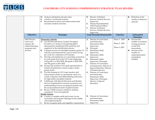

|                                                                                                   | D. Analyze anticipated outcomes data<br>Conduct a cost-benefit analysis<br>Е.<br>F.<br>Recommend revisions and enhancements that<br>maximize student outcomes                                                                                                                                                                                                                                                                                                                                                                                                                                                                                                                                                                                                                                                                                                                                                                                                                                                                                                                                                                                                                                                                                                                                                                                                                                                                          | D. Director of Student<br>Services, Student Services<br>Supervisor<br>Deputy Superintendent,<br>Е.<br>Chief Financial Officer<br>F.<br>Director of Student<br>Services, Student Services<br>Supervisor                                                                                                                                                                                                                                                                                                                                                                                                   |                                                 | Reduction in the<br>❖<br>number of behavior<br>referrals                                                                                                                     |
|---------------------------------------------------------------------------------------------------|----------------------------------------------------------------------------------------------------------------------------------------------------------------------------------------------------------------------------------------------------------------------------------------------------------------------------------------------------------------------------------------------------------------------------------------------------------------------------------------------------------------------------------------------------------------------------------------------------------------------------------------------------------------------------------------------------------------------------------------------------------------------------------------------------------------------------------------------------------------------------------------------------------------------------------------------------------------------------------------------------------------------------------------------------------------------------------------------------------------------------------------------------------------------------------------------------------------------------------------------------------------------------------------------------------------------------------------------------------------------------------------------------------------------------------------|----------------------------------------------------------------------------------------------------------------------------------------------------------------------------------------------------------------------------------------------------------------------------------------------------------------------------------------------------------------------------------------------------------------------------------------------------------------------------------------------------------------------------------------------------------------------------------------------------------|-------------------------------------------------|------------------------------------------------------------------------------------------------------------------------------------------------------------------------------|
| Objective                                                                                         | <b>Strategies</b>                                                                                                                                                                                                                                                                                                                                                                                                                                                                                                                                                                                                                                                                                                                                                                                                                                                                                                                                                                                                                                                                                                                                                                                                                                                                                                                                                                                                                      | Lead Person(s) Responsible                                                                                                                                                                                                                                                                                                                                                                                                                                                                                                                                                                               | Timeline                                        | Anticipated<br>Outcomes                                                                                                                                                      |
| <b>1.6.3</b> Review,<br>revise and<br>enhance the<br>Gifted Education<br>programs and<br>services | <b>Elementary Schools</b><br>A. Use the Slocumb-Payne Teacher Perception<br>Inventory as a means of recognizing gifted<br>characteristics manifested both positively and<br>negatively in the identification process<br>Continue services for identified students grades 3-5<br><b>B.</b><br>with the Lead Instructional Coach at least one day<br>per week for a minimum of 45 minutes<br>Develop and implement an overarching curriculum<br>C.<br>for each grade level at the GO Center beginning<br>with grade 3 in 2019-2020, 4th grade in 2020-2021,<br>and 5th grade in 2021-2022<br>Increase the number of 5A math opportunities to<br>D.<br>include all elementary schools using a cluster<br>group model<br>Provide training for GO Center teachers and<br>instructional coaches on meeting the needs of a<br>variety of learners and differentiating instruction<br>for high-ability and gifted students<br>Collaborate with Special Education and Student<br>F.<br>Services departments to increase awareness and<br>understanding of twice-exceptional students and<br>the social-emotional needs of gifted learners<br>Review VDOE resources related to students<br>G.<br>considered "Twice Exceptional"<br><b>Middle Schools</b><br>H. Conduct a complete audit and review/revise<br>curriculum and program offerings for the middle<br>school gifted program<br>Review program goals and eligibility requirements<br>Ι. | Director of Curriculum<br>А.<br>and Instruction,<br>Elementary Math<br>Supervisor<br><b>B.</b><br>Principals<br>C.<br><b>Elementary Math</b><br>Supervisor,<br>D. Elementary Math<br>Supervisor<br>Е.<br>Elementary Math<br>Supervisor, Principals<br>F. Director of Curriculum<br>and Instruction, Director of<br>Special Education, Director<br>of Student Services<br>G. Director of Curriculum<br>and Instruction,<br><b>Elementary Math</b><br>Supervisor, Principals,<br>Director of Special<br>Education<br>H. Director of Curriculum<br>and Instruction,<br><b>Elementary Math</b><br>Supervisor | Phase 1: 2020<br>Phase 2: 2021<br>Phase 3: 2022 | Increase the<br>❖<br>number of students<br>scoring advanced<br>on the SOL<br>assessments<br>Increase in the<br>❖<br>number of<br>underrepresented<br>populations<br>enrolled |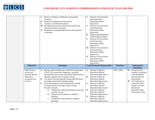

|                                                                                         | К.<br>L.<br>М.        | Review invitation, enrollment, and capacity<br>dynamics<br>Analyze anticipated outcomes data<br>Conduct a cost-benefit analysis<br>Recommend revisions and enhancements that<br>maximize student outcomes.<br>N. Implement recommendations from the program<br>evaluation.                                                                                                                                                                                                                                                                                                                                        | I.<br>J.<br>К.<br>L.  | Director of Curriculum<br>and Instruction,<br><b>Elementary Math</b><br>Supervisor<br>Director of Curriculum<br>and Instruction,<br><b>Elementary Math</b><br>Supervisor<br>Deputy Superintendent,<br>Chief Financial Officer<br>Director of Curriculum<br>and Instruction,<br><b>Elementary Math</b><br>Supervisor<br>M. Director of Curriculum<br>and Instruction,<br><b>Elementary Math</b><br>Supervisor<br>N. Director of Curriculum<br>and Instruction,<br><b>Elementary Math</b> |                 |                                                                                                                                                                                                                                  |
|-----------------------------------------------------------------------------------------|-----------------------|-------------------------------------------------------------------------------------------------------------------------------------------------------------------------------------------------------------------------------------------------------------------------------------------------------------------------------------------------------------------------------------------------------------------------------------------------------------------------------------------------------------------------------------------------------------------------------------------------------------------|-----------------------|-----------------------------------------------------------------------------------------------------------------------------------------------------------------------------------------------------------------------------------------------------------------------------------------------------------------------------------------------------------------------------------------------------------------------------------------------------------------------------------------|-----------------|----------------------------------------------------------------------------------------------------------------------------------------------------------------------------------------------------------------------------------|
|                                                                                         | Objective             | <b>Strategies</b>                                                                                                                                                                                                                                                                                                                                                                                                                                                                                                                                                                                                 |                       | Supervisor<br>Lead Person(s) Responsible                                                                                                                                                                                                                                                                                                                                                                                                                                                | <b>Timeline</b> | Anticipated                                                                                                                                                                                                                      |
|                                                                                         |                       |                                                                                                                                                                                                                                                                                                                                                                                                                                                                                                                                                                                                                   |                       |                                                                                                                                                                                                                                                                                                                                                                                                                                                                                         |                 | <b>Outcomes</b>                                                                                                                                                                                                                  |
| 1.6.4 Review,<br>revise and<br>enhance Special<br>Education<br>programs and<br>services | <b>A.</b><br>В.<br>C. | Review cohort reading and math SOL strand data,<br>VAAP, IXL continuous diagnostic, quarterly<br>assessments, and course curriculum frameworks to<br>identify targeted areas of improvement<br>Use data to develop specific measurable IEP goals<br>for improvement and transition plans<br>Train administrators and school teams in high<br>leverage practices through system change<br>Practices include:<br>Collaborate with professionals to increase<br>a.<br>student success<br>Organize and facilitate an effective<br>$\mathbf{b}$ .<br>meeting<br>Collaborate with families to support<br>c.<br>learning | <b>B.</b><br>C.<br>E. | A. Director of Special<br>Education, Special<br><b>Education Supervisors</b><br>Director of Special<br>Education, Special<br><b>Education Supervisors</b><br>Director of Special<br>Education, Special<br><b>Education Supervisors</b><br>D. Director of Special<br>Education, Special<br><b>Education Supervisors</b><br>Director of Special<br>Education, Special<br><b>Education Supervisors</b>                                                                                     | $2019 - 2020$   | Increase in the<br>❖<br>number of students<br>with disabilities<br>passing the SOL<br>assessments<br>LCS will meet or<br>❖<br>exceed the state<br>targets set under<br>the Special<br><b>Education State</b><br>Performance Plan |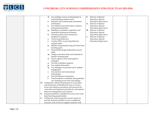

| Use multiple sources of information to<br>d.            | Director of Special<br>F.    |  |
|---------------------------------------------------------|------------------------------|--|
| understanding student needs                             | Education, Special           |  |
| Interpret and communicate assessment<br>e.              | <b>Education Supervisors</b> |  |
| information                                             | G.<br>Director of Special    |  |
| Use student assessment data to analyze<br>f.            | Education, Special           |  |
| instructional practices                                 | <b>Education Supervisors</b> |  |
| Establish a consistent, organized, and                  | Director of Special<br>Н.    |  |
| respectful learning environment                         | Education, Special           |  |
| h. Provide positive and constructive                    | <b>Education Supervisors</b> |  |
| feedback to students                                    | Director of Special<br>Ι.    |  |
| Teach social behaviors<br>i.                            | Education, Special           |  |
| Conduct FBA's to develop behavior                       | <b>Education Supervisors</b> |  |
| support plans                                           |                              |  |
| Identify and prioritize long and short term<br>k.       |                              |  |
| learning goals                                          |                              |  |
| Systemically design instruction toward<br>l.            |                              |  |
| goals                                                   |                              |  |
| m. Adapt curriculum tasks and materials to              |                              |  |
| specific learning goals                                 |                              |  |
| Teach cognitive and metacognitive<br>n.                 |                              |  |
| strategies                                              |                              |  |
| Provide scaffolded supports<br>0.                       |                              |  |
| Use explicit instruction<br>p.                          |                              |  |
| Use strategies to promote active student<br>q.          |                              |  |
| engagement                                              |                              |  |
| Use assistive and instructional<br>r.                   |                              |  |
| technologies                                            |                              |  |
| Provide intensive instruction<br>s.                     |                              |  |
| Teach students to maintain and generalize<br>t.         |                              |  |
| new learning across time and settings                   |                              |  |
| D. Collaborate with the Department of Curriculum        |                              |  |
| and Instruction and Student Services to review,         |                              |  |
| revise and enhance procedures and protocols for         |                              |  |
| curriculum development and delivery and student         |                              |  |
| behavior management and response                        |                              |  |
| E.<br>Expand transition to adulthood services and work- |                              |  |
| based learning opportunities                            |                              |  |
| F.<br>Collaborate with community resource teams to      |                              |  |
| provide students/families access to additional          |                              |  |
| resources and services to support students with         |                              |  |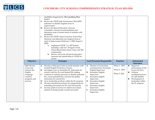

|                                                                                                          | Ι.             | disabilities Supported by The Lynchburg Plan<br>Goal 4<br>G. Review the VDOE State Performance Plan (SPP)<br>indicators to identify targeted areas of<br>improvement<br>H. Receive the Special Education Advisory<br>Committee's annual recommendations and<br>determine areas of unmet needs of students with<br>disabilities<br>Review the VDOE's final Corrective Action Plan<br>Summary and determine any targeted areas in<br>need of improvement (February 1, 2020-August 1,<br>2020<br>Implement VDOE "Va. IEP System"<br>a.<br>including "add-ons" (Progress Track,<br>School Based Intervention Team, and 504<br>components)<br>Review and revise all special education<br>$\mathbf{b}$ .<br>manuals and submit them to VDOE for<br>review |                                                                                                                                                                                                                                                                                                             |                                                 |                                                                                                                                                                                |
|----------------------------------------------------------------------------------------------------------|----------------|-----------------------------------------------------------------------------------------------------------------------------------------------------------------------------------------------------------------------------------------------------------------------------------------------------------------------------------------------------------------------------------------------------------------------------------------------------------------------------------------------------------------------------------------------------------------------------------------------------------------------------------------------------------------------------------------------------------------------------------------------------|-------------------------------------------------------------------------------------------------------------------------------------------------------------------------------------------------------------------------------------------------------------------------------------------------------------|-------------------------------------------------|--------------------------------------------------------------------------------------------------------------------------------------------------------------------------------|
| Objective                                                                                                |                | <b>Strategies</b>                                                                                                                                                                                                                                                                                                                                                                                                                                                                                                                                                                                                                                                                                                                                   | Lead Person(s) Responsible                                                                                                                                                                                                                                                                                  | Timeline                                        | Anticipated<br><b>Outcomes</b>                                                                                                                                                 |
| 1.6.5 Review<br>revise and<br>enhance the<br>English<br>Language<br>Learners<br>programs and<br>services | A.<br>C.<br>E. | Develop a Welcome Center to enroll students with<br>Limited English Proficiency Parents.<br><b>B.</b> Investigate ways to streamline EL instruction for<br>schools with few ELs and limited ESL staffing<br>Continue to institute processes to identify potential<br>ELs, screen potential ELs, and provide quality<br>instruction for current ELs.<br>D. Grow leadership positions within the EL program<br>Develop standard procedures for interpreting and<br>translating documents for ELs and LEP parents<br>F. Increase push-in services to content area classes<br>instead of relying mainly on pull out model                                                                                                                               | Director of Curriculum<br>A.<br>and Instruction, Secondary<br><b>English Supervisor</b><br>Secondary English<br><b>B.</b><br>Supervisor<br>Secondary English<br>C.<br>Supervisor<br>Secondary English<br>D.<br>Supervisor<br>Secondary English<br>Е.<br>Supervisor<br>Secondary English<br>F.<br>Supervisor | Phase 1: 2019<br>Phase 2: 2020<br>Phase 3: 2021 | Improved<br>❖<br>performance on the<br>Access for ELLs<br>Uniform<br>❖<br>enrollment process<br>for LEP families<br>Development of<br>❖<br>leadership within<br>the EL program |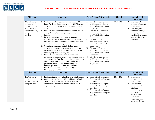

| Objective                                                                                                            | <b>Strategies</b>                                                                                                                                                                                                                                                                                                                                                                                                                                                                                                                                                                                                                                                                                                                                                                                                                                                                                                                                                                                                                                                         | <b>Lead Person(s) Responsible</b>                                                                                                                                                                                                                                                                                                                                                                                                                                                                                   | <b>Timeline</b> | Anticipated                                                                                                                                                                                                 |  |
|----------------------------------------------------------------------------------------------------------------------|---------------------------------------------------------------------------------------------------------------------------------------------------------------------------------------------------------------------------------------------------------------------------------------------------------------------------------------------------------------------------------------------------------------------------------------------------------------------------------------------------------------------------------------------------------------------------------------------------------------------------------------------------------------------------------------------------------------------------------------------------------------------------------------------------------------------------------------------------------------------------------------------------------------------------------------------------------------------------------------------------------------------------------------------------------------------------|---------------------------------------------------------------------------------------------------------------------------------------------------------------------------------------------------------------------------------------------------------------------------------------------------------------------------------------------------------------------------------------------------------------------------------------------------------------------------------------------------------------------|-----------------|-------------------------------------------------------------------------------------------------------------------------------------------------------------------------------------------------------------|--|
| <b>1.6.6 Review,</b><br>revise and<br>enhance Career<br>and Technical<br>Education (CTE)<br>programs and<br>services | Continue the development and expansion of the<br><b>A.</b><br>Local Advisory Committee to support CTE career<br>clusters and pathways to employment in Region<br>2000<br>Establish post-secondary partnerships that enable<br><b>B.</b><br>clear pathways to industry-ready certifications and<br>licenses<br>Increase student access to post-secondary<br>C.<br>education through campus-based programming<br>that includes dual enrollment and articulated post-<br>secondary course offerings<br>D. Coordinate programs of study in key career<br>clusters to focus the preparation of students for<br>high-wage/high-demand careers and utilize the<br>federal program monitoring review<br>Establish an internship advisory committee<br>Е.<br>consisting of area employers to expand practicums<br>and internships / on the job training opportunities<br>as well as provide students with employment<br>placement opportunities Supported by The<br>Lynchburg Plan Goal 1 and the Economic<br>Development and Tourism Blueprint for<br><b>Opportunity Goal 3.2</b> | A. Director of Curriculum<br>and Instruction, Career<br>and Technical Education<br>Supervisor<br>Director of Curriculum<br>В.<br>and Instruction, Career<br>and Technical Education<br>Supervisor<br>$C_{\cdot}$<br>Director of Curriculum<br>and Instruction, Career<br>and Technical Education<br>Supervisor<br>D. Director of Curriculum<br>and Instruction, Career<br>and Technical Education<br>Supervisor<br>Director of Curriculum<br>Ε.<br>and Instruction, Career<br>and Technical Education<br>Supervisor | $2019 - 2020$   | <b>Outcomes</b><br>Increase in the<br>❖<br>number of student<br>internships<br>Percentage of<br>❖<br>students earning<br>industry<br>certifications equals<br>or exceeds the state<br>average               |  |
| Objective                                                                                                            | <b>Strategies</b>                                                                                                                                                                                                                                                                                                                                                                                                                                                                                                                                                                                                                                                                                                                                                                                                                                                                                                                                                                                                                                                         | Lead Person(s) Responsible                                                                                                                                                                                                                                                                                                                                                                                                                                                                                          | <b>Timeline</b> | Anticipated<br><b>Outcomes</b>                                                                                                                                                                              |  |
| <b>1.6.7 Review,</b><br>revise and<br>enhance regional<br>programs and<br>services                                   | Implement program evaluations on a rotating cycle<br>A.<br>Continue to collaborate with neighboring school<br><b>B.</b><br>divisions to evaluate program effectiveness<br>Monitor student enrollment and attendance in<br>C.<br>regional programs                                                                                                                                                                                                                                                                                                                                                                                                                                                                                                                                                                                                                                                                                                                                                                                                                         | Superintendent, Deputy<br>A.<br>Superintendent, Program<br>Directors<br>Superintendent, Deputy<br><b>B.</b><br>Superintendent, Program<br>Directors<br>C. Superintendent, Deputy<br>Superintendent, Program<br>Directors                                                                                                                                                                                                                                                                                            | $2019 - 2024$   | Maintain or<br>❖<br>increase student<br>participation<br>Increase the<br>❖<br>percentage of<br>students<br>graduating with<br>industry<br>certifications,<br>advanced<br>diplomas, and<br>associate degrees |  |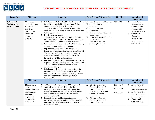<span id="page-19-0"></span>

# **LUCS**<br>EXECUTE CONTRESSERVE STRATEGIC PLAN 2019-2024

| <b>Focus Area</b>                                            | Objective                                                                                                                            | <b>Strategies</b>                                                                                                                                                                                                                                                                                                                                                                                                                                                                                                                                                                                                                                                                                                                                                                                                                                                                                                                                                                                                                                                                                                                                                                                                                 | Lead Person(s) Responsible                                                                                                                                                                                                                                                                            | <b>Timeline</b>                              | Anticipated                                                                                                                                                                                   |
|--------------------------------------------------------------|--------------------------------------------------------------------------------------------------------------------------------------|-----------------------------------------------------------------------------------------------------------------------------------------------------------------------------------------------------------------------------------------------------------------------------------------------------------------------------------------------------------------------------------------------------------------------------------------------------------------------------------------------------------------------------------------------------------------------------------------------------------------------------------------------------------------------------------------------------------------------------------------------------------------------------------------------------------------------------------------------------------------------------------------------------------------------------------------------------------------------------------------------------------------------------------------------------------------------------------------------------------------------------------------------------------------------------------------------------------------------------------|-------------------------------------------------------------------------------------------------------------------------------------------------------------------------------------------------------------------------------------------------------------------------------------------------------|----------------------------------------------|-----------------------------------------------------------------------------------------------------------------------------------------------------------------------------------------------|
|                                                              |                                                                                                                                      |                                                                                                                                                                                                                                                                                                                                                                                                                                                                                                                                                                                                                                                                                                                                                                                                                                                                                                                                                                                                                                                                                                                                                                                                                                   |                                                                                                                                                                                                                                                                                                       |                                              | <b>Outcomes</b>                                                                                                                                                                               |
| 1.7 Student<br><b>Wellness and</b><br><b>Quality of Life</b> | 1.7.1 Develop<br>and implement a<br>K-12 Social-<br>Emotional<br>Learning and<br>Character<br>Education<br>program                   | A.<br>Collaborate with the School Health Advisory Board<br>to review the family life standards and ASCA<br>Mindset and Behaviors to develop a<br>comprehensive K-12 curriculum that includes<br>social-emotional learning, character education, and<br>bullying prevention<br>Develop and implement a<br>В.<br>collaborative instructional delivery model that<br>includes classroom teachers, HPE teachers, nurses,<br>school counselors, and community members<br>Provide staff and volunteers with relevant training<br>C.<br>on SEL, CEP and bullying prevention<br>D. Implement lesson plan reviews and provide<br>targeted feedback regarding the implementation of<br>SEL, CEP and bullying prevention lessons, use<br>outcome based behavioral data to deliver SEL<br>instruction, activities and programs<br>Implement observing staff/volunteers and provide<br>Е.<br>targeted feedback regarding the implementation of<br>SEL, CEP and bullying prevention lessons,<br>activities and programs<br>Collaborate with community resource teams to<br>F.<br>provide students/families access to additional<br>resources and services to support healthy students<br>and families Supported by The Lynchburg<br>Plan Goal 4 | Director of Student Services<br>A.<br><b>Student Services</b><br><b>B.</b><br>Supervisors<br><b>Student Services</b><br>C.<br>Supervisors<br>D. Principals, Student Services<br>Supervisors<br>Principals, Student Services<br>Е.<br>Supervisors<br>Director of Student<br>F.<br>Services, Principals | $2020 - 2021$                                | Youth Risk<br>❖<br><b>Behavior Survey</b><br>results indicate a<br>decline in risk-<br>related behaviors<br>Cultural and<br>❖<br>Competency<br>Survey = $75%$<br>agreement with<br>statements |
|                                                              | Objective                                                                                                                            | <b>Strategies</b>                                                                                                                                                                                                                                                                                                                                                                                                                                                                                                                                                                                                                                                                                                                                                                                                                                                                                                                                                                                                                                                                                                                                                                                                                 | Lead Person(s) Responsible                                                                                                                                                                                                                                                                            | Timeline                                     | Anticipated                                                                                                                                                                                   |
|                                                              |                                                                                                                                      |                                                                                                                                                                                                                                                                                                                                                                                                                                                                                                                                                                                                                                                                                                                                                                                                                                                                                                                                                                                                                                                                                                                                                                                                                                   |                                                                                                                                                                                                                                                                                                       |                                              | <b>Outcomes</b>                                                                                                                                                                               |
|                                                              | <b>1.7.2</b> Review,<br>revise and<br>enhance behavior<br>management<br>strategies,<br>response to<br>trauma, and<br>alternatives to | <b>Tier I (Classroom Engagement and Management)</b><br>A. Train all staff in effective Tier I behavior<br>management strategies specifically tailored to<br>typical student's engagement related to their job<br>responsibilities (teacher, bus driver, assistant,<br>secretary, coach, etc.)<br>Research, review and implement common<br>В.<br>instructional alignment, delivery and engagement<br>practices that correlate with positive student<br>behavior outcomes                                                                                                                                                                                                                                                                                                                                                                                                                                                                                                                                                                                                                                                                                                                                                           | Director of Student<br>A.<br>Services, Director of<br>Curriculum and<br>Instruction, Director of<br>Special Education,<br>Principals<br>Director of Student<br><b>B.</b><br>Services, Director of<br>Curriculum and                                                                                   | Tier 1: 2019<br>Tier 2: 2020<br>Tier 3: 2021 | ❖<br>Reduction in the<br>number of<br>behavioral referrals<br>Reduction in the<br>❖<br>number of out-of-<br>school suspensions<br>Culture and<br>❖<br>Climate Survey =                        |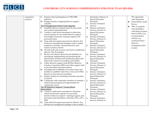

| suspension | Expand cohort participation in VTSS/PBIS<br>C.           |    | Instruction, Director of | 75% agreement            |
|------------|----------------------------------------------------------|----|--------------------------|--------------------------|
| practices  | initiatives                                              |    | Special Education,       | with statements          |
|            | Engage parents in ongoing behavior support<br>D.         |    | Principals               | School Safety Audit<br>❖ |
|            | activities                                               | C. | Director of Student      | Review                   |
|            | <b>Tier II (Supplement School Team Support)</b>          |    | <b>Services</b>          | 100% of students<br>❖    |
|            | E. Establish behavior support teams in each school       | D. | Director of Student      | with disabilities        |
|            | and continue implementation                              |    | Services, Director of    | with behavior plans      |
|            | F.<br>Conduct a staff needs assessment to determine      |    | Special Education,       | listed in IEPs as an     |
|            | school capacity for successful behavior support -        |    | Principals               |                          |
|            | knowledge/awareness, training/support, and               | Е. | Director of Student      | accommodation            |
|            | personnel needs                                          |    | Services, Director of    | will have an             |
|            | G. Train staff and support personnel in effective Tier   |    | Special Education,       | evidenced-based          |
|            | II behavior management strategies with an added          |    | Principals               | behavior                 |
|            | emphasis on trauma- informed practices and               | F. | Director of Student      | management plan          |
|            | trauma-sensitive schools                                 |    | Services, Director of    | in place                 |
|            | H. Provide staff with resources and tools to implement   |    | Special Education,       |                          |
|            | effective Tier II strategies                             |    | Principals               |                          |
|            | Review and enhance protocols and timelines for<br>Ι.     |    | G. Director of Student   |                          |
|            | developing, implementing and monitoring the              |    | Services, Director of    |                          |
|            | effectiveness of behavioral modification plans and       |    | Special Education,       |                          |
|            | behavioral contracts for students and families           |    | Principals               |                          |
|            | Utilize behavior support staff (BCBAs, Behavior          | H. | Director of Student      |                          |
|            | Coaches, Counselors, RBTs) and other support staff       |    | Services, Director of    |                          |
|            | to provide behavioral interventions                      |    | Special Education,       |                          |
|            | K. Investigate the availability of in-school space and   |    | Principals               |                          |
|            | facilities to establish Calm Down Areas and CHILL        | I. | Director of Student      |                          |
|            | Rooms for short-term de-escalation                       |    | Services, Director of    |                          |
|            | L. Explore options for instituting restorative practices |    | Special Education,       |                          |
|            | in schools                                               |    | Principals               |                          |
|            | M. Collaborate with community members to institute a     | J. | Director of Student      |                          |
|            | mentor-based program and opportunities for               |    | Services, Director of    |                          |
|            | community service                                        |    | Special Education,       |                          |
|            | <b>Tier III (Intensive Support / Trauma-Based</b>        |    | Principals               |                          |
|            | Intervention)                                            | К. | Director of Student      |                          |
|            | N. Conduct a staff needs assessment to determine         |    | Services, Director of    |                          |
|            | school and division capacity for successful              |    | Special Education,       |                          |
|            | intensive behavior support - training/support, and       |    | Principals               |                          |
|            | personnel needs (therapists, clinicians, LPCs, LPCs-     | L. | Director of Student      |                          |
|            | MH)                                                      |    | Services, Director of    |                          |
|            | O. Train staff and support personnel in effective Tier   |    |                          |                          |
|            | III behavior management strategies with an added         |    |                          |                          |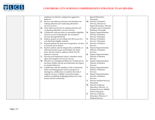

|  | emphasis on intensive support for aggressive               |    | Special Education,          |  |
|--|------------------------------------------------------------|----|-----------------------------|--|
|  | behavior                                                   |    | Principals                  |  |
|  | Review and enhance protocols and timelines for<br>Р.       |    | M. Director of Student      |  |
|  | making referrals and conducting alternative                |    | Services, Director of       |  |
|  | services reviews                                           |    | Special Education, Director |  |
|  | Train staff in protocols for making referrals and<br>Q.    |    | of Equity and Community     |  |
|  | conducting alternative services reviews                    |    | Relations, Principals       |  |
|  | Collaborate with providers to streamline eligibility<br>R. | N. | Deputy Superintendent,      |  |
|  | process to receive therapeutic day treatment               |    | Director of Student         |  |
|  | services through Medicaid                                  |    | Services, Principals        |  |
|  | Explore options for providing Tier III services for<br>S.  | O. | Director of Student         |  |
|  | non-Medicaid eligible students                             |    | Services, Principals        |  |
|  | Expand options for short-term suspension services<br>T.    | Р. | Director of Student         |  |
|  | in schools and in district                                 |    | <b>Services</b>             |  |
|  | Explore options and investigate the availability of        | Q. | Deputy Superintendent,      |  |
|  | alternate location space and facilities for short-         |    | Director of Student         |  |
|  | term, interim needs to address critical Tier III           |    | Services                    |  |
|  | behavior concerns                                          | R. | Deputy Superintendent,      |  |
|  | Develop and implement school-transition action<br>V.       |    | Director of Student         |  |
|  | plans and support services for success                     |    | <b>Services</b>             |  |
|  | W. Pilot the use of Registered Behavior Technicians in     | S. | Deputy Superintendent,      |  |
|  | the three middle schools and determine the impact          |    | Director of Student         |  |
|  | on student behavior                                        |    | <b>Services</b>             |  |
|  | Collaborate with the members of the Community<br>X.        | T. | Deputy Superintendent,      |  |
|  | Policy and Management Team to propose an                   |    | Director of Student         |  |
|  | interagency collaborative to address the lack of           |    | <b>Services</b>             |  |
|  | support services available to preschool-aged               | U. | Deputy Superintendent,      |  |
|  | students exhibiting challenging behaviors in the           |    | Director of Student         |  |
|  | home/school/community                                      |    | <b>Services</b>             |  |
|  |                                                            | V. | Director Student Services,  |  |
|  |                                                            |    | Principals                  |  |
|  |                                                            |    | W. Director of Special      |  |
|  |                                                            |    | Education, Director of      |  |
|  |                                                            |    | Student Services, Middle    |  |
|  |                                                            |    | School Principals           |  |
|  |                                                            | X. | Director of Special         |  |
|  |                                                            |    | Education, Director of      |  |
|  |                                                            |    | <b>Student Services</b>     |  |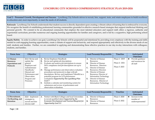<span id="page-22-0"></span>

**Goal 2 – Personnel Growth, Development and Success:** Lynchburg City Schools strives to recruit, hire, support, train, and retain employees to build excellence in education and, most importantly, to meet the needs of all students.

**Rationale:** Lynchburg City Schools understands that student success is directly dependent upon creating a vibrant culture of learning that is embraced by everyone. We recognize the benefit of establishing professional learning communities grounded in effective research-based strategies that support intellectual thinking and personal growth. We commit to be an educational community that employs the most talented educators and support staff; offers a rigorous, authentic and experiential curriculum; provides numerous and ongoing learning opportunities for families and caregivers, and is led by a supportive, high performing school board.

**Equity Habits:** In order to achieve our goal, Lynchburg City Schools will be purposeful and intentional by providing every employee with the training and skills needed to craft engaging learning opportunities, create a climate of support and inclusivity, and respond appropriately and effectively to the diverse needs of our staff, students and families. Further, we are committed to applying and demonstrating these effective practices in our day-to-day interactions with colleagues, students, and families.

| <b>Focus Area</b>       | Objective        |    | <b>Strategies</b>                                |              | Lead Person(s) Responsible    | <b>Timeline</b> |   | Anticipated       |
|-------------------------|------------------|----|--------------------------------------------------|--------------|-------------------------------|-----------------|---|-------------------|
|                         |                  |    |                                                  |              |                               |                 |   | <b>Outcomes</b>   |
| 2.1 Human               | 2.1.1 Revise and | A. | Revise Employee Handbook                         | А.           | Director of Human             | Phase 1: 2019   | ❖ | Provide guidance  |
| <b>Resources</b>        | update the       | B. | Revise and update job descriptions               |              | Resources                     |                 |   | and resources for |
| <b>Expectations and</b> | general          |    | Evaluate and analyze job descriptions to ensure  | <b>B.</b>    | Director of Human             | Phase 2: 2021   |   | all staff         |
| Protocols               | Employee and     |    | DOL compliance and job descriptions are up to    |              | Resources, Directors          |                 |   |                   |
|                         | Administrator    |    | date                                             | $\mathbf{C}$ | Director of Human             | Phase 3: 2023   |   |                   |
|                         | Handbook/        | D. | Manage performance and observation evaluation    |              | Resources, Directors          |                 |   |                   |
|                         | Manual and       |    | procedures and protocols to align with job       | D.           | Director of Human             |                 |   |                   |
|                         | Performance and  |    | descriptions. Review and implement TalentEd as a |              | Resources, Director of        |                 |   |                   |
|                         | Observation      |    | potential program for LCS performance            |              | Information Technology        |                 |   |                   |
|                         | Program and      |    | evaluations Supported by The Lynchburg Plan      | Е.           | Director of Human             |                 |   |                   |
|                         | Processes        |    | Goal 7                                           |              | Resources, Director of        |                 |   |                   |
|                         |                  | Е. | Institute a calendar and monitoring system for   |              | <b>Information Technology</b> |                 |   |                   |
|                         |                  |    | submission and review of performance and         |              |                               |                 |   |                   |
|                         |                  |    | observation evaluations                          |              |                               |                 |   |                   |

| <b>Focus Area</b> | Objective                    | <b>Strategies</b>                                     | Lead Person(s) Responsible | <b>Timeline</b> | Anticipated<br><b>Outcomes</b> |
|-------------------|------------------------------|-------------------------------------------------------|----------------------------|-----------------|--------------------------------|
| 2.2 Recruitment,  | <b>2.2.1</b> Implement $A$ . | Partner with Black Colleges and local Universities    | Director of Human<br>A.    | Phase 1: 2020   | Increase in the<br>◈           |
| On-Boarding, and  | strategies to                | to recruit qualified talent Supported by the          | Resources                  |                 | number of                      |
| Retention         | recruit and hire             | <b>Economic Development and Tourism Blueprint for</b> | Director of Human<br>В.    | Phase 2: 2022   | underrepresented               |
|                   | diverse staff                | <b>Opportunity Goal 3.3</b>                           | Resources                  |                 |                                |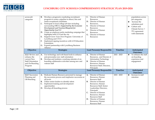

| across job<br>categories                                                                                 | C.<br>Е.              | <b>B.</b> Develop a progressive marketing recruitment<br>program to create a pipeline to attract, hire and<br>retain exceptional candidates<br>Participate in local college job fairs including<br>surrounding HBCUs Supported by the Economic<br>Development and Tourism Blueprint for<br><b>Opportunity Goal 3.3</b><br>D. Create an employee perks marketing campaign that<br>highlights both LCS and the city<br>Support Grow Your Own Program- University of<br>Lynchburg and CVCC | Е.<br>F.        | Director of Human<br>Resources<br>D. Director of Human<br>Resources,<br>Director of Human<br>Resources<br>Director of Human<br>Resources<br>G. Director of Human<br>Resources                                                                                                                                         |                 | populations across<br>job categories<br>Increase the<br>❖<br>substitute pool<br>Culture and<br>❖<br>Climate Survey =<br>75% agreement<br>with statements |
|----------------------------------------------------------------------------------------------------------|-----------------------|-----------------------------------------------------------------------------------------------------------------------------------------------------------------------------------------------------------------------------------------------------------------------------------------------------------------------------------------------------------------------------------------------------------------------------------------------------------------------------------------|-----------------|-----------------------------------------------------------------------------------------------------------------------------------------------------------------------------------------------------------------------------------------------------------------------------------------------------------------------|-----------------|----------------------------------------------------------------------------------------------------------------------------------------------------------|
|                                                                                                          | F.<br>G.              | Implement signing incentives with LCS Education<br>Foundation<br>Expand partnership with Lynchburg Business<br>Alliance                                                                                                                                                                                                                                                                                                                                                                 |                 |                                                                                                                                                                                                                                                                                                                       |                 |                                                                                                                                                          |
| Objective                                                                                                |                       | <b>Strategies</b>                                                                                                                                                                                                                                                                                                                                                                                                                                                                       |                 | Lead Person(s) Responsible                                                                                                                                                                                                                                                                                            | <b>Timeline</b> | Anticipated<br><b>Outcomes</b>                                                                                                                           |
| 2.2.2 Review and<br>enhance the<br>current New<br><b>Staff Orientation</b><br>and On-Boarding<br>Program | A.<br>В.              | Use technology and web-based tools to enhance<br>and personalize new staff orientation<br>Develop and institute a yearlong calendar of on-<br>boarding collaborative activities among new and<br>veteran staff                                                                                                                                                                                                                                                                          | <b>B.</b>       | A. Director of Human<br>Resources, and Director of<br><b>Information Technology</b><br>Director of Human<br>Resources, Human<br>Resources Staff, Directors,<br>Principals                                                                                                                                             | 2021 - 2023     | To enhance the staff<br>❖<br>on-boarding<br>experience and<br>engagement                                                                                 |
| Objective                                                                                                |                       | <b>Strategies</b>                                                                                                                                                                                                                                                                                                                                                                                                                                                                       |                 | Lead Person(s) Responsible                                                                                                                                                                                                                                                                                            | <b>Timeline</b> | Anticipated<br><b>Outcomes</b>                                                                                                                           |
| 2.2.3 Succession<br>Planning and<br>Off-Boarding                                                         | <b>A.</b><br>В.<br>C. | Dedicate Human Resource personnel to manage<br>the succession process and emphasize succession at<br>all levels<br>Utilize senior leaders to identify talent<br>Implement training and development<br>opportunities<br>D. Develop off-boarding process                                                                                                                                                                                                                                  | <b>B.</b><br>C. | A. Director of Human<br>Resources, Human<br><b>Resource Staff</b><br>Director of Human<br>Resources, Human<br>Resources Staff, Senior<br>Leadership, Directors,<br>Principals<br>Director of Human<br>Resources, Human<br><b>Resources Staff</b><br>D. Director of Human<br>Resources, Human<br><b>Resource Staff</b> | 2021 - 2023     | Increase in staff<br>❖<br>retention                                                                                                                      |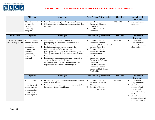<span id="page-24-0"></span>

| <b>Objective</b> | <b>Strategies</b>                                       | Lead Person(s) Responsible | <b>Timeline</b> | Anticipated            |
|------------------|---------------------------------------------------------|----------------------------|-----------------|------------------------|
|                  |                                                         |                            |                 | <b>Outcomes</b>        |
| 2.2.4 Revise and | A. Formalize mentoring for other job classifications    | Director of Human          | $2022 - 2023$   | Increase in staff<br>❖ |
| enhance the      | Collect perceptive and performance/retention data<br>В. | Resources, Directors,      |                 | retention              |
| current          | for mentees                                             | Principals                 |                 |                        |
| mentoring        |                                                         | Director of Human<br>В.    |                 |                        |
| program          |                                                         | Resources                  |                 |                        |

| <b>Focus Area</b>                         | Objective                                                                                                                                   | <b>Strategies</b>                                                                                                                                                                                                                                                                                                                                                                                                                                                                                                                     | Lead Person(s) Responsible                                                                                                                                                                                                                                                                                                                                        | <b>Timeline</b> | Anticipated                                                                                                                                                                                           |
|-------------------------------------------|---------------------------------------------------------------------------------------------------------------------------------------------|---------------------------------------------------------------------------------------------------------------------------------------------------------------------------------------------------------------------------------------------------------------------------------------------------------------------------------------------------------------------------------------------------------------------------------------------------------------------------------------------------------------------------------------|-------------------------------------------------------------------------------------------------------------------------------------------------------------------------------------------------------------------------------------------------------------------------------------------------------------------------------------------------------------------|-----------------|-------------------------------------------------------------------------------------------------------------------------------------------------------------------------------------------------------|
|                                           |                                                                                                                                             |                                                                                                                                                                                                                                                                                                                                                                                                                                                                                                                                       |                                                                                                                                                                                                                                                                                                                                                                   |                 | <b>Outcomes</b>                                                                                                                                                                                       |
| 2.3 Staff Wellness<br>and Quality of Life | 2.3.1 Revise and<br>enhance division<br>and school<br>programs to<br>promote staff<br>wellness<br>(emotional,<br>physical and<br>financial) | Continue to offer more incentives to staff<br>A.<br>participating in school and division health and<br>fitness activities<br>Institute a support system to increase the<br>percentage of staff who are recommended to<br>participate in an Employee Assistance Program and<br>actually participate in an the Employee Assistance<br>Program<br>Increase employee appreciation and recognition<br>activities throughout the division<br>Collaborate with City and community officials<br>D.<br>regarding shared services for employees | Director of Human<br>A.<br>Resources, Human<br>Resources Staff, Payroll and<br><b>Benefits Supervisor</b><br>Director of Human<br>В.<br>Resources, Human<br><b>Resources Staff</b><br>Director of Human<br>C.<br>Resources, Human<br>Resource Staff, Senior<br>Leadership<br>Director of Human<br>D.<br>Resources, Human<br>Resources Staff, Senior<br>Leadership | $2020 - 2023$   | Increase in staff<br>❖<br>daily attendance<br>and a reduction in<br>absenteeism                                                                                                                       |
|                                           | Objective                                                                                                                                   | <b>Strategies</b>                                                                                                                                                                                                                                                                                                                                                                                                                                                                                                                     | Lead Person(s) Responsible                                                                                                                                                                                                                                                                                                                                        | <b>Timeline</b> | Anticipated<br><b>Outcomes</b>                                                                                                                                                                        |
|                                           | 2.3.2 Increase<br>awareness<br>regarding work-<br>related hazards<br>and reduce the<br>number of work-<br>related injuries                  | Provide training on preventative measures to avoid<br>A.<br>work-related hazards<br>Review and revise protocols for addressing student<br>behaviors without risk of injury                                                                                                                                                                                                                                                                                                                                                            | Director of Human<br>А.<br>Resources, Safety Risk<br>Manager<br>Director of Student<br>В.<br>Services, Principals                                                                                                                                                                                                                                                 | $2020 - 2023$   | ❖<br>Increase in staff<br>daily attendance<br>Reduction in the<br>❖<br>number of staff<br>injuries and<br>workman's comp<br>cases<br>Reduction in the<br>❖<br>number of student<br>threat assessments |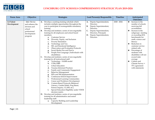<span id="page-25-0"></span>

| <b>Focus Area</b>         | Objective                                                                                                  | <b>Strategies</b>                                                                                                                                                                                                                                                                                                                                                                                                                                                                                                                                                                                                                                                                                                                                                                                                                                                                                                                                                                                                                                                                                                                                                                                                                                                                                                                                                                                                                                            | Lead Person(s) Responsible                                                                                                                                                                        | Timeline      | Anticipated                                                                                                                                                                                                                                                                                                                                                                                                                       |
|---------------------------|------------------------------------------------------------------------------------------------------------|--------------------------------------------------------------------------------------------------------------------------------------------------------------------------------------------------------------------------------------------------------------------------------------------------------------------------------------------------------------------------------------------------------------------------------------------------------------------------------------------------------------------------------------------------------------------------------------------------------------------------------------------------------------------------------------------------------------------------------------------------------------------------------------------------------------------------------------------------------------------------------------------------------------------------------------------------------------------------------------------------------------------------------------------------------------------------------------------------------------------------------------------------------------------------------------------------------------------------------------------------------------------------------------------------------------------------------------------------------------------------------------------------------------------------------------------------------------|---------------------------------------------------------------------------------------------------------------------------------------------------------------------------------------------------|---------------|-----------------------------------------------------------------------------------------------------------------------------------------------------------------------------------------------------------------------------------------------------------------------------------------------------------------------------------------------------------------------------------------------------------------------------------|
|                           |                                                                                                            |                                                                                                                                                                                                                                                                                                                                                                                                                                                                                                                                                                                                                                                                                                                                                                                                                                                                                                                                                                                                                                                                                                                                                                                                                                                                                                                                                                                                                                                              |                                                                                                                                                                                                   |               | <b>Outcomes</b>                                                                                                                                                                                                                                                                                                                                                                                                                   |
| 2.4 Talent<br>Development | <b>2.4.1 Revise</b><br>and enhance the<br>division and<br>school<br>professional<br>development<br>program | A. Develop a yearlong training schedule which<br>includes multiple opportunities throughout the<br>year to participate in nonnegotiable mandatory<br>training<br>Develop and institute a series of non-negotiable<br>В.<br>training for all employees and school board<br>members:<br><b>Customer Service</b><br>a.<br>Diversity, Equity, and Inclusion<br>b.<br>Poverty Simulation<br>c.<br>Technology and You<br>d.<br>SEL and Emotional Intelligence<br>e.<br>Observation and Evaluation Protocols<br>f.<br>Social Media Dos and Don'ts<br>g.<br>People First Language (Individuals with<br>h.<br>disabilities)<br>Develop and institute a series of non-negotiable<br>C.<br>training for all instructional staff:<br>a. Technology - SAMR model<br>VTSS/PBIS<br>b.<br>Urban Education<br>c.<br><b>Trauma-Informed Practices</b><br>d.<br>Family and Community Engagement<br>e.<br><b>Behavior Management</b><br>f.<br>IEPs and 504 Implementation<br>g.<br>Continuous School Improvement<br>h.<br>Professional Learning Communities<br>i.<br>Career and Workforce Development<br>Content-Based Protocols (Balanced<br>k.<br>Literacy, Guided Math, Frog Street,<br>Science Inquiry, CLASS, etc.)<br>Special Education Eligibility under VDOE<br>1.<br>decision matrix<br>D. Develop and institute a series of non-negotiable<br>training for all administrative and senior<br>leadership staff:<br>Capacity Building and Leadership<br>a.<br>Development | A. Deputy Superintendent,<br>Directors<br>Deputy Superintendent,<br><b>B.</b><br>Directors<br>C. Deputy Superintendent,<br>Directors, Principals<br>D. Deputy Superintendent,<br><b>Directors</b> | $2020 - 2024$ | Increase in the<br>❖<br>number of schools<br>receiving full<br>accreditation<br>Increase in the<br>❖<br>subgroups meeting<br>or exceeding SOL<br>benchmarks for<br>math, science and<br>literacy<br>Reduction in<br>❖<br>customer service<br>related calls<br>Percentage of<br>❖<br>students with<br>disabilities will not<br>exceed state<br>average<br>Culture and<br>❖<br>Climate Survey =<br>75% agreement<br>with statements |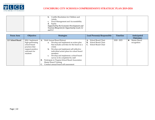<span id="page-26-0"></span>

| Conflict Resolution for Children and<br>b.         |  |
|----------------------------------------------------|--|
| Adults                                             |  |
| Fiscal Management and Accountability<br>c.         |  |
| Equity<br>d.                                       |  |
| Supported by the Economic Development and          |  |
| <b>Tourism Blueprint for Opportunity Goals 3.2</b> |  |
| and 3.3                                            |  |

| <b>Focus Area</b> | Objective                                                                                                            | <b>Strategies</b>                                                                                                                                                                                                                                                                                                                                                                                                                                                                | Lead Person(s) Responsible                                              | <b>Timeline</b> | Anticipated<br><b>Outcomes</b>   |
|-------------------|----------------------------------------------------------------------------------------------------------------------|----------------------------------------------------------------------------------------------------------------------------------------------------------------------------------------------------------------------------------------------------------------------------------------------------------------------------------------------------------------------------------------------------------------------------------------------------------------------------------|-------------------------------------------------------------------------|-----------------|----------------------------------|
| 2.5 School Board  | 2.5.1 Implement<br>high-performing<br>school board<br>practices that<br>support positive<br>outcomes for<br>students | Hold Annual Board Retreat<br>A.<br><b>a.</b> Develop and implement an action plan<br>that includes activities for the board as a<br>whole<br>Develop and implement self-reflective<br>$\mathbf{b}$ .<br>individual action plans for school board<br>members<br>Develop and implement a school board<br>$c_{\cdot}$<br>survey to be completed by staff<br>Participate in Virginia School Board Association<br>B.<br>Master Board Training<br>Conduct annual board self-assessment | School Board Chair<br>School Board Chair<br>В.<br>C. School Board Chair | $2020 - 2023$   | Master Board<br>❖<br>recognition |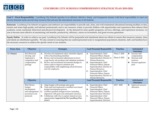<span id="page-27-0"></span>

Goal 3 - Fiscal Responsibility: Lynchburg City Schools operates in an efficient, effective, timely, and transparent manner with fiscal responsibility to meet our diverse financial needs and develop resources that advance the educational outcomes of all students.

**Rationale:** Lynchburg City Schools recognizes and embraces our responsibility to provide safe, clean, and well-maintained educational learning facilities; to hire, mentor and retain high-quality and talented professionals; and to use resources wisely to provide children with opportunities and experiences that enhance their academic, social, emotional, behavioral and physical development. As the demand for more quality programs, services, offerings, and experiences increases, we aim to become more effective at maximizing cost benefits, productivity, efficiency, return on investment, and grant revenue generation.

**Equity Habits:** In order to achieve our goal, Lynchburg City Schools will be purposeful and intentional about our efforts to ensure that resources (money, time, and talent) are distributed equitably. We also commit to ensuring that any underrepresented and/or marginalized populations (students, staff, and families) have the necessary resources to address the specific needs of our students.

| <b>Focus Area</b> | Objective                                                                                      | <b>Strategies</b>                                                                                                                                                                                                                                                                                                                                                         | Lead Person(s) Responsible                                                                                                                                                                                                                                                                                                                                  | <b>Timeline</b>                | Anticipated<br><b>Outcomes</b>                                                                            |
|-------------------|------------------------------------------------------------------------------------------------|---------------------------------------------------------------------------------------------------------------------------------------------------------------------------------------------------------------------------------------------------------------------------------------------------------------------------------------------------------------------------|-------------------------------------------------------------------------------------------------------------------------------------------------------------------------------------------------------------------------------------------------------------------------------------------------------------------------------------------------------------|--------------------------------|-----------------------------------------------------------------------------------------------------------|
| 3.1 Finance       | 3.1.1 Research,<br>develop, and<br>implement a<br>competitive staff<br>compensation<br>package | Develop and implement salary schedules aligned<br>A.<br>with re-benchmarking timelines<br>Review and recommend adjustments to lower-<br>В.<br>wage hourly rate positions and substitute positions<br>Review and recommend incremental changes to<br>C.<br>salary scales to improve retention and<br>comparability with neighboring school divisions<br>and city employees | Superintendent, Chief<br>A.<br>Financial Officer, Deputy<br>Superintendent, Director of<br><b>Human Resources</b><br>Superintendent, Chief<br><b>B.</b><br>Financial Officer, Deputy<br>Superintendent, Director of<br><b>Human Resources</b><br>Superintendent, Chief<br>C.<br>Financial Officer, Deputy<br>Superintendent, Director of<br>Human Resources | Phase 1: 2020<br>Phase 2: 2022 | Increase staff<br>❖<br>compensation<br>Decrease staff<br>❖<br>turnover<br>Increase applicant<br>❖<br>pool |
|                   | Objective                                                                                      | <b>Strategies</b>                                                                                                                                                                                                                                                                                                                                                         | Lead Person(s) Responsible                                                                                                                                                                                                                                                                                                                                  | <b>Timeline</b>                | Anticipated<br><b>Outcomes</b>                                                                            |
|                   | <b>3.1.2</b> Revise<br>budget<br>development<br>and management<br>procedures and<br>protocols  | Align budget with strategic plan goals<br>А.<br>Train staff and implement a modified zero-based<br><b>B.</b><br>budget development process<br>Conduct quarterly budget reviews including<br>C.<br>alignment with goals and anticipated outcomes<br>Collaborate with City to explore shared services<br>D.<br>opportunities Supported by The Lynchburg Plan<br>Goal 8      | Superintendent, Chief<br>A.<br><b>Financial Officer</b><br><b>B.</b><br>Superintendent, Chief<br>Financial Officer, Deputy<br>Superintendent, Directors<br>Superintendent, Chief<br>C.<br>Financial Officer, Deputy<br>Superintendent, Directors                                                                                                            | $2019 - 2020$                  | Improved resource<br>❖<br>allocation                                                                      |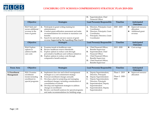<span id="page-28-0"></span>

|                                                                         |                                                                                                                                                                                                                                                                                                 | Superintendent, Chief<br>D.<br><b>Financial Officer</b>                                                                                                                                                                                                 |                 |                                                                          |
|-------------------------------------------------------------------------|-------------------------------------------------------------------------------------------------------------------------------------------------------------------------------------------------------------------------------------------------------------------------------------------------|---------------------------------------------------------------------------------------------------------------------------------------------------------------------------------------------------------------------------------------------------------|-----------------|--------------------------------------------------------------------------|
| Objective                                                               | <b>Strategies</b>                                                                                                                                                                                                                                                                               | Lead Person(s) Responsible                                                                                                                                                                                                                              | <b>Timeline</b> | Anticipated<br><b>Outcomes</b>                                           |
| 3.1.3 Seek and<br>secure additional<br>revenue in the<br>form of grants | Participate in grant writing training for<br>A.<br>administrators<br><b>B.</b><br>Conduct grant-utilization assessment and make<br>recommendations for revisions to maximize cost<br>benefits<br>Search for and seek out new sources of grant<br>revenue Supported by The Lynchburg Plan Goal 8 | Directors, Principals, Grant<br>Coordinator<br>Directors, Principals, Grant<br>В.<br>Coordinator<br>Principals, Directors, Grant<br>Coordinator                                                                                                         | $2020 - 2023$   | ❖<br>Improved resource<br>allocation<br>Additional grant<br>❖<br>revenue |
| Objective                                                               | <b>Strategies</b>                                                                                                                                                                                                                                                                               | Lead Person(s) Responsible                                                                                                                                                                                                                              | <b>Timeline</b> | Anticipated<br><b>Outcomes</b>                                           |
| 3.1.4 Explore<br>options to<br>address health<br>care costs             | Examine trends in healthcare costs<br>А.<br>В.<br>Review healthcare reserve thresholds<br>Explore options to reduce costs through<br>C.<br>preventative healthcare and wellness initiatives<br>Explore options to reduce costs through<br>D.<br>comparative benefit analysis                    | Chief Financial Officer,<br>А.<br><b>Benefits Supervisor</b><br>Superintendent, Chief<br>В.<br><b>Financial Officer</b><br>Chief Financial Officer,<br>C.<br><b>Benefits Supervisor</b><br>Chief Financial Officer,<br>D.<br><b>Benefits Supervisor</b> | $2019 - 2020$   | ❖<br>Cost savings                                                        |

| <b>Focus Area</b> | Objective        |    | <b>Strategies</b>                                 |    | Lead Person(s) Responsible | Timeline        |   | Anticipated       |
|-------------------|------------------|----|---------------------------------------------------|----|----------------------------|-----------------|---|-------------------|
|                   |                  |    |                                                   |    |                            |                 |   | <b>Outcomes</b>   |
| 3.2 Enrollment    | 3.2.1 Examine    | A. | Implement class size and school reassignment      | A. | Deputy Superintendent,     | Phase 1: 2019   | ❖ | Improved resource |
| Management        | enrollment       |    | strategies as a cost-containment strategy         |    | Directors, Principals      |                 |   | allocation        |
|                   | trends including | В. | Forecast enrollment changes annually              | В. | Deputy Superintendent      | Phase 2: 2020 - |   |                   |
|                   | enrollment in    |    | Develop a plan for projecting and managing        |    | Deputy Superintendent,     | 2022            |   |                   |
|                   | special programs |    | enrollment changes, including consideration of    |    | Directors, Principals      |                 |   |                   |
|                   |                  |    | consolidation of schools                          | D. | Superintendent, Deputy     |                 |   |                   |
|                   |                  | D. | Develop and implement strategies to address       |    | Superintendent             |                 |   |                   |
|                   |                  |    | changes in enrollment                             | Е. | Superintendent, Deputy     |                 |   |                   |
|                   |                  | Е. | Review cost-benefit analyses for special programs |    | Superintendent             |                 |   |                   |
|                   |                  |    | and make recommendations for building usage       |    |                            |                 |   |                   |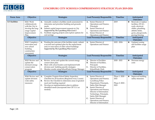<span id="page-29-0"></span>

| <b>Focus Area</b> | Objective                                                                                                      | <b>Strategies</b>                                                                                                                                                                                                                                                                                                          | Lead Person(s) Responsible                                                                                                                                                                                                                                                                                                                             | <b>Timeline</b>                                    | Anticipated                                                                                                                                           |
|-------------------|----------------------------------------------------------------------------------------------------------------|----------------------------------------------------------------------------------------------------------------------------------------------------------------------------------------------------------------------------------------------------------------------------------------------------------------------------|--------------------------------------------------------------------------------------------------------------------------------------------------------------------------------------------------------------------------------------------------------------------------------------------------------------------------------------------------------|----------------------------------------------------|-------------------------------------------------------------------------------------------------------------------------------------------------------|
|                   |                                                                                                                |                                                                                                                                                                                                                                                                                                                            |                                                                                                                                                                                                                                                                                                                                                        |                                                    | <b>Outcomes</b>                                                                                                                                       |
| 3.3 Facilities    | 3.3.1 Work<br>collaboratively<br>with the City to<br>develop the long-<br>range Capital<br>Improvement<br>Plan | Annually conduct a facilities needs assessment to<br>A.<br>determine and prioritize building and grounds<br>needs<br>Submit capital improvement requests to City<br><b>B.</b><br>Supported by The Lynchburg Plan Goal 2<br>C. Facilitate ongoing projects and explore options for<br>cost savings                          | A. Senior Director of<br>Operations and Finance,<br>Principals<br>Senior Director of<br><b>B.</b><br>Operations and Finance<br>C. Senior Director of<br>Operations and Finance                                                                                                                                                                         | 2019                                               | Renovate or replace<br>❖<br>facilities, HVAC,<br>roofs, electrical,<br>chiller, plumbing,<br>athletic fields,<br>gyms, playgrounds,<br>paving/fencing |
|                   | Objective                                                                                                      | <b>Strategies</b>                                                                                                                                                                                                                                                                                                          | Lead Person(s) Responsible                                                                                                                                                                                                                                                                                                                             | Timeline                                           | Anticipated<br><b>Outcomes</b>                                                                                                                        |
|                   | 3.3.2 Complete a<br>renovation and<br>new school<br>building<br>construction<br>assessment                     | Pending the outcome of the facilities study, submit<br><b>A.</b><br>a revised and updated plan for the replacement<br>and/or renovation of older school buildings<br>Supported by The Lynchburg Plan Goal 2                                                                                                                | A. Senior Director of<br>Operations and Finance                                                                                                                                                                                                                                                                                                        | $2022 - 2024$                                      | Updated zoning<br>❖<br>and facilities usage<br>plan                                                                                                   |
|                   | Objective                                                                                                      | <b>Strategies</b>                                                                                                                                                                                                                                                                                                          | Lead Person(s) Responsible                                                                                                                                                                                                                                                                                                                             | Timeline                                           | Anticipated<br><b>Outcomes</b>                                                                                                                        |
|                   | 3.3.3 Review and<br>update the<br>dormant energy<br>conservation<br>program                                    | Review, revise and update the current energy<br>A.<br>conservation plan<br>Meet with school leaders and implement both<br><b>B.</b><br>division and building specific strategies<br>C. Monitor results using SchoolDude Energy Manager                                                                                     | Director of Facilities<br>А.<br><b>B.</b><br>Director of Facilities,<br>Principals<br>C.<br>Director of Facilities,<br>SchoolDude Clerk                                                                                                                                                                                                                | $2020 - 2021$                                      | ❖<br>Decrease energy<br>costs                                                                                                                         |
|                   | Objective                                                                                                      | <b>Strategies</b>                                                                                                                                                                                                                                                                                                          | Lead Person(s) Responsible                                                                                                                                                                                                                                                                                                                             | <b>Timeline</b>                                    | Anticipated<br><b>Outcomes</b>                                                                                                                        |
|                   | 3.3.4 Review and<br>update division<br>wide safety<br>measures                                                 | Complete Virginia School Safety Inspection<br>A.<br>Checklist for all locations (Required every 3 years)<br>Review the Checklist to determine areas of greatest<br><b>B.</b><br>need and funding required<br>Develop an implementation plan to address<br>C.<br>identified needs (incorporate into CIP 3.3.1 as<br>needed) | Senior Director of<br><b>A.</b><br>Operations and Finance,<br>Lynchburg Police<br>Department, Principals,<br>Safety Risk Manager<br>Senior Director of<br>В.<br>Operations and Finance,<br>Director of Information<br>Technology, Principals,<br>Safety Risk Manager<br>Senior Director of<br>C.<br>Operations and Finance,<br>Director of Information | Phase 1: 2020 -<br>2021<br>Phase 2: 2022 -<br>2023 | Improved building<br>❖<br>safety measures                                                                                                             |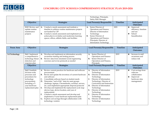<span id="page-30-0"></span>

|                                                               |                                                                                                                                                                                                                                                                                            | Technology, Principals,<br>Safety Risk Manager                                                                                                                                                            |          |                                                                                   |
|---------------------------------------------------------------|--------------------------------------------------------------------------------------------------------------------------------------------------------------------------------------------------------------------------------------------------------------------------------------------|-----------------------------------------------------------------------------------------------------------------------------------------------------------------------------------------------------------|----------|-----------------------------------------------------------------------------------|
| Objective                                                     | <b>Strategies</b>                                                                                                                                                                                                                                                                          | Lead Person(s) Responsible                                                                                                                                                                                | Timeline | Anticipated<br><b>Outcomes</b>                                                    |
| 3.3.5 Review and<br>update routine<br>maintenance<br>projects | A. Conduct a needs assessment and institute a<br>timeline to address routine maintenance projects<br>not funded by CIP<br>Conduct a needs assessment and implement an<br><b>B.</b><br>action plan to revitalize and modernize learning<br>spaces, offices, athletic fields, and facilities | Senior Director of<br>Operations and Finance,<br>Director of Information<br>Technology<br>Senior Director of<br><b>B.</b><br>Operations and Finance,<br>Principals, Director of<br>Information Technology | 2021     | ❖<br>Improved<br>efficiency, function<br>and use<br>School<br>❖<br>beautification |

| <b>Focus Area</b> | Objective                                                                                                                                                | <b>Strategies</b>                                                                                                                                                                                                                                                                                                                                                                                                                                                                                                                                                                                                                                                                        | Lead Person(s) Responsible                                                                                                                                                                                                                                                                                                                                                              | <b>Timeline</b> | Anticipated<br><b>Outcomes</b>                                                                      |
|-------------------|----------------------------------------------------------------------------------------------------------------------------------------------------------|------------------------------------------------------------------------------------------------------------------------------------------------------------------------------------------------------------------------------------------------------------------------------------------------------------------------------------------------------------------------------------------------------------------------------------------------------------------------------------------------------------------------------------------------------------------------------------------------------------------------------------------------------------------------------------------|-----------------------------------------------------------------------------------------------------------------------------------------------------------------------------------------------------------------------------------------------------------------------------------------------------------------------------------------------------------------------------------------|-----------------|-----------------------------------------------------------------------------------------------------|
| 3.4 Technology    | 3.4.1 Implement<br>a comprehensive<br>technology threat<br>detection and<br>response plan                                                                | Develop and implement an information security<br>A.<br>awareness training and testing process<br>Review data from simulated social engineering<br><b>B.</b><br>exercises and revise protocols as needed                                                                                                                                                                                                                                                                                                                                                                                                                                                                                  | Senior Director of<br>A.<br>Operations and Finance<br>Senior Director of<br>В.<br>Operations and Finance,<br>Principals                                                                                                                                                                                                                                                                 | 2019            | Increase in staff<br>❖<br>awareness and<br>reduce risk                                              |
|                   | Objective                                                                                                                                                | <b>Strategies</b>                                                                                                                                                                                                                                                                                                                                                                                                                                                                                                                                                                                                                                                                        | Lead Person(s) Responsible                                                                                                                                                                                                                                                                                                                                                              | <b>Timeline</b> | Anticipated<br><b>Outcomes</b>                                                                      |
|                   | 3.4.2 Establish<br>division-wide<br>processes and<br>procedures for<br>technology<br>procurement,<br>including a 5-<br>year hardware<br>replacement plan | Review current practices for hardware and software<br>procurement<br>Revise and update the inventory of current hardware<br><b>B.</b><br>and software<br>Consolidate software based on student needs<br>C.<br>Determine "end of life" data for asset groups<br>D.<br>(desktops, laptops, Chromebooks, switches, servers,<br>etc.) and implement appropriate disposal protocols<br>Develop and implement the replacement cycle map<br>Е.<br>(device type, device location, and year of<br>replacement)<br>Conduct a needs assessment and develop and<br>F.<br>implement a 5-year hardware replacement plan<br>Explore cost savings through collaboration with<br>G.<br>technology vendors | Director of Information<br>A.<br>Technology<br>Director of Information<br><b>B.</b><br>Technology<br>C.<br>Director of Information<br>Technology, Director of<br>Curriculum and Instruction<br>Director of Information<br>D.<br>Technology<br>Ε.<br>Director of Information<br>Technology<br>Director of Information<br>F.<br>Technology<br>Director of Information<br>G.<br>Technology | 2019            | Cost savings from<br>❖<br>software<br>collaboration<br>❖<br>Improved<br>hardware data<br>management |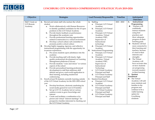

| Objective                                       | <b>Strategies</b>                                                                                                                                                                                                                                                                                                                                                                                                                                                                                                                                                                                                                                                                                                                                                                                                                                                                                                                                                                                                                                                                                                                                                                                                                                                                                                                                                                                                                                                                                                                                                                                                                                           | Lead Person(s) Responsible                                                                                                                                                                                                                                                                                                                                                                                                                                                                                                                                                                                                                                                                                                                                                                                                                                  | <b>Timeline</b> | Anticipated                                                                                                                                                                                                                                                                                                                                                                                                                                                                                                                                                                                                                                                                                        |
|-------------------------------------------------|-------------------------------------------------------------------------------------------------------------------------------------------------------------------------------------------------------------------------------------------------------------------------------------------------------------------------------------------------------------------------------------------------------------------------------------------------------------------------------------------------------------------------------------------------------------------------------------------------------------------------------------------------------------------------------------------------------------------------------------------------------------------------------------------------------------------------------------------------------------------------------------------------------------------------------------------------------------------------------------------------------------------------------------------------------------------------------------------------------------------------------------------------------------------------------------------------------------------------------------------------------------------------------------------------------------------------------------------------------------------------------------------------------------------------------------------------------------------------------------------------------------------------------------------------------------------------------------------------------------------------------------------------------------|-------------------------------------------------------------------------------------------------------------------------------------------------------------------------------------------------------------------------------------------------------------------------------------------------------------------------------------------------------------------------------------------------------------------------------------------------------------------------------------------------------------------------------------------------------------------------------------------------------------------------------------------------------------------------------------------------------------------------------------------------------------------------------------------------------------------------------------------------------------|-----------------|----------------------------------------------------------------------------------------------------------------------------------------------------------------------------------------------------------------------------------------------------------------------------------------------------------------------------------------------------------------------------------------------------------------------------------------------------------------------------------------------------------------------------------------------------------------------------------------------------------------------------------------------------------------------------------------------------|
|                                                 |                                                                                                                                                                                                                                                                                                                                                                                                                                                                                                                                                                                                                                                                                                                                                                                                                                                                                                                                                                                                                                                                                                                                                                                                                                                                                                                                                                                                                                                                                                                                                                                                                                                             |                                                                                                                                                                                                                                                                                                                                                                                                                                                                                                                                                                                                                                                                                                                                                                                                                                                             |                 | <b>Outcomes</b>                                                                                                                                                                                                                                                                                                                                                                                                                                                                                                                                                                                                                                                                                    |
| 3.4.3 Create an<br><b>LCS</b> Remote<br>Academy | A. Recruit and retain staff who nurture the whole<br>student<br>Work collaboratively with Human Resources<br>a.<br>to identify qualified candidates for the 10 open<br>positions in the LCS Virtual Academy<br>Provide timely feedback on performance<br>$\mathbf{b}$ .<br>throughout the academic year<br>Provide professional learning opportunities<br>c.<br>related to instruction in a virtual environment<br>Develop a school culture sub-committee to<br>d.<br>promote positive school culture<br>Develop highly engaging, rigorous, and reflective<br>В.<br>instructional programming with the opportunity for<br>in-person experiences.<br>a. Pre-assess students upon admittance into the<br>academy<br>Provide teaching staff with timely, high-<br>$\mathbf{b}$ .<br>quality professional development on Learning<br>Management platforms (Canvas)<br>Provide students "voice and choice" in various<br>c.<br>aspects of the school<br>d. Provide personalized learning professional<br>development to staff that addresses skill<br>deficits and gives a real-world application to<br>their learning, including student-led<br>conferencing<br>Enroll at least 50 students currently learning outside<br>C.<br>of the LCS Virtual Academy for the 2021-2022 school<br>year<br>Develop brochures, electronic marketing for<br>a.<br>social media geared for non-LCS families<br>Set up LCS VA Academy tent at various<br>$\mathbf{b}$ .<br>outdoor events to grow knowledge and<br>interest<br>Create and facilitate a combination of in<br>c.<br>person and virtual "interest meetings" for<br>prospective families interested in checking out | A. Staffing<br>a. Principal, LCS Virtual<br>Academy<br>Principal, LCS Virtual<br>$\mathbf{b}$ .<br>Academy<br>Principal, LCS Virtual<br>c.<br>Academy, Virtual<br>Academy ITRT,<br>Supervisor of<br>Instructional<br>technology<br>d. Principal, LCS Virtual<br>Academy<br><b>B.</b> Instructional Programming<br>Principal, LCS Virtual<br>a.<br>Academy<br>Principal, LCS Virtual<br>$\mathbf{b}$ .<br>Academy, Virtual<br>Academy ITRT,<br>Supervisor of<br>Instructional<br>Technology<br><b>LCS Virtual Academy</b><br>c.<br>Principal and Staff<br>d. LCS Virtual Academy<br>Principal and Staff<br>C.<br><b>Student Enrollment</b><br>a. Principal, LCS Virtual<br>Academy<br><b>LCS Virtual Academy</b><br>$b$ .<br>Principal and Staff<br><b>LCS Virtual Academy</b><br>c.<br>Principal and Staff<br>d. LCS Virtual Academy<br>Principal and Staff | $2021 - 2022$   | Instructional<br><b>A.</b><br>Programming<br>Teachers will<br>❖<br>confidently<br>instruct students<br>using best<br>practices and<br>show adequate<br>progress on their<br>learning goals<br>Students will feel<br>❖<br>more connected to<br>their learning and<br>teachers, because<br>it's tied to their<br>interests and<br>strengths<br>The Virtual<br>❖<br>Academy will<br>have accurate data<br>on how students<br>are progressing<br>towards mastery<br>in their learning<br>Student<br><b>B.</b><br>Enrollment<br>❖ The Virtual<br>Academy will add<br>more students and<br>families to the<br>program and<br>continue to be a<br>viable learning<br>option for<br>Lynchburg<br>residents |
|                                                 | the LCS Virtual Academy                                                                                                                                                                                                                                                                                                                                                                                                                                                                                                                                                                                                                                                                                                                                                                                                                                                                                                                                                                                                                                                                                                                                                                                                                                                                                                                                                                                                                                                                                                                                                                                                                                     |                                                                                                                                                                                                                                                                                                                                                                                                                                                                                                                                                                                                                                                                                                                                                                                                                                                             |                 |                                                                                                                                                                                                                                                                                                                                                                                                                                                                                                                                                                                                                                                                                                    |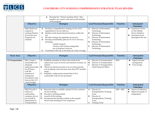<span id="page-32-0"></span>

|                                                                                                         | Develop the "Virtual Academy Story" that<br>d.<br>families can connect with and see the benefits<br>of the program                                                                                                                                                                                                                                                                |                                                                                                                                                                                                                                          |                 |                                                                                                             |
|---------------------------------------------------------------------------------------------------------|-----------------------------------------------------------------------------------------------------------------------------------------------------------------------------------------------------------------------------------------------------------------------------------------------------------------------------------------------------------------------------------|------------------------------------------------------------------------------------------------------------------------------------------------------------------------------------------------------------------------------------------|-----------------|-------------------------------------------------------------------------------------------------------------|
| Objective                                                                                               | <b>Strategies</b>                                                                                                                                                                                                                                                                                                                                                                 | Lead Person(s) Responsible                                                                                                                                                                                                               | <b>Timeline</b> | Anticipated<br><b>Outcomes</b>                                                                              |
| 3.4.4 Build and<br>expand on<br>existing Wireless<br><b>Access Services</b><br>Programs for<br>students | Develop a comprehensive strategy for W.A.S.P.,<br>A.<br>segmented by service delivery<br>Identify needs-based internet locations within the<br>В.<br>city<br>Develop strategy for regulation of services<br>C.<br>Develop sustainability plan for W.A.S.P. Services,<br>D.<br>including:<br>- mobile hotspots<br>- devices with wireless integration<br>-use of antenna/receivers | Director of Information<br>A.<br>Technology<br>Director of Information<br><b>B.</b><br>Technology<br>Director of Information<br>Technology<br>Director of Information<br>D.<br>Technology<br>Director of Information<br>Е.<br>Technology | 2021            | Expansion of One<br>❖<br>to One Mobile<br>Device Initiative<br>Increased access<br>❖<br>throughout the city |

| <b>Focus Area</b>  | Objective                                                                                                                                                                                     | <b>Strategies</b>                                                                                                                                                                                                                                                                                                                                       | Lead Person(s) Responsible                                                                                                           | <b>Timeline</b> | Anticipated<br><b>Outcomes</b>                                     |
|--------------------|-----------------------------------------------------------------------------------------------------------------------------------------------------------------------------------------------|---------------------------------------------------------------------------------------------------------------------------------------------------------------------------------------------------------------------------------------------------------------------------------------------------------------------------------------------------------|--------------------------------------------------------------------------------------------------------------------------------------|-----------------|--------------------------------------------------------------------|
| 3.5 Transportation | <b>3.5.1</b> Create a<br>sustainable and<br>adequate<br>replacement plan<br>for all buses.<br>with the<br>intention of<br>making the<br>investment a line<br>item on the LCS<br>yearly budget | Establish a baseline of when a bus needs to be<br>A.<br>replaced (in years of service and amount of money on<br>repairs)<br>Check our internal records to see at what point the<br><b>B.</b><br>cost of upkeep a bus becomes more than 50% baseline<br>target<br>Establish a replacement amount that LCS is<br>C.<br>comfortable with for bus purchases | Director of Transportation<br>A.<br>Director of Transportation<br>В.<br>Director of Transportation,<br>Chief Financial Officer       | 2019            | Improved asset<br>❖<br>management<br>Cost savings<br>❖             |
|                    | Objective                                                                                                                                                                                     | <b>Strategies</b>                                                                                                                                                                                                                                                                                                                                       | Lead Person(s) Responsible                                                                                                           | <b>Timeline</b> | Anticipated<br><b>Outcomes</b>                                     |
|                    | 3.5.2 Provide a<br>culture of<br>outstanding<br>customer service<br>for all staff in<br>Department of<br>Transportation                                                                       | Research what is available outside LCS for customer<br>А.<br>service training<br>Develop a training module<br>B.<br>C.<br>Launch of the training<br>Incorporate the training module on the regular<br>D.<br>driver/aide training for new employees                                                                                                      | Director of<br>A.<br>Transportation/Training<br>Team<br>Director of<br>В.<br>Transportation/Training<br>Team<br><b>Training Team</b> | $2020 - 2022$   | Improved efficiency<br>❖<br>Improved equity of<br>❖<br>assignments |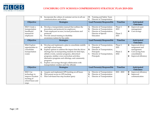

|                                                                                            | Incorporate the culture of customer service in all our<br>E.<br>communications and actions                                                                                                                                                                                                                                                                                                                                                                                                  | Training and Safety Team<br>D.<br>Director of Transportation<br>Е.                                                                                           |                                      |                                                                                                                            |
|--------------------------------------------------------------------------------------------|---------------------------------------------------------------------------------------------------------------------------------------------------------------------------------------------------------------------------------------------------------------------------------------------------------------------------------------------------------------------------------------------------------------------------------------------------------------------------------------------|--------------------------------------------------------------------------------------------------------------------------------------------------------------|--------------------------------------|----------------------------------------------------------------------------------------------------------------------------|
| Objective                                                                                  | <b>Strategies</b>                                                                                                                                                                                                                                                                                                                                                                                                                                                                           | Lead Person(s) Responsible                                                                                                                                   | <b>Timeline</b>                      | Anticipated<br><b>Outcomes</b>                                                                                             |
| <b>3.5.3</b> Create a<br>transportation<br>handbook/<br>manual for<br>employees            | Develop a transportation manual that outlines the<br>A.<br>procedures and protocols for employees<br>Train employees on new/revised procedures and<br><b>B.</b><br>protocols<br>Provide annual training in disability<br>C.<br>awareness/autism for bus aides                                                                                                                                                                                                                               | Director of Transportation<br>A.<br>Director of Transportation<br><b>B.</b><br>Director of Transportation,<br>C.<br>Director of Special<br>Education         | Phase 1:<br>2019<br>Phase 2:<br>2021 | Improved asset<br>❖<br>management<br>$\bullet$<br>Cost savings                                                             |
| Objective                                                                                  | <b>Strategies</b>                                                                                                                                                                                                                                                                                                                                                                                                                                                                           | Lead Person(s) Responsible                                                                                                                                   | <b>Timeline</b>                      | Anticipated<br><b>Outcomes</b>                                                                                             |
| 3.5.4 Explore<br>opportunities to<br>consolidate<br>transportation<br>routes               | Develop and implement a plan to consolidate middle<br>A.<br>and high school routes<br>Explore options to address the impact that the driver<br><b>B.</b><br>shortage has on transporting students for field trips,<br>athletic events, summer programs, afterschool<br>programs, midday cross-curriculum activities,<br>alternative programs and offerings, and community<br>programs<br>Explore cost savings through collaboration with<br>C.<br>transportation vendors and City officials | Director of Transportation,<br>А.<br>Principals<br>Director of Transportation,<br><b>B.</b><br>Principals<br>Director of Transportation,<br>C.<br>Principals | Phase 1:<br>2021<br>Phase 2:<br>2022 | Improved driver<br>❖<br>assignment and<br>management<br>Cost saving from<br>❖<br>consolidation<br>Improved efficiency<br>❖ |
| Objective                                                                                  | <b>Strategies</b>                                                                                                                                                                                                                                                                                                                                                                                                                                                                           | Lead Person(s) Responsible                                                                                                                                   | <b>Timeline</b>                      | Anticipated<br><b>Outcomes</b>                                                                                             |
| 3.5.5 Use<br>technology to<br>improve location<br>tracking of<br>school buses and<br>stops | Acquire and implement GPS tracking on all buses<br>A.<br>Pilot parent access to GPS tracking<br>Pilot web-based bus stop location query<br>C.                                                                                                                                                                                                                                                                                                                                               | Director of Transportation<br>A.<br>Director of Transportation<br>В.<br>Director of Transportation<br>C.                                                     | $2021 - 2022$                        | Improved efficiency<br>$\mathcal{L}_{\mathcal{C}}$<br>Improved<br>❖<br>communication                                       |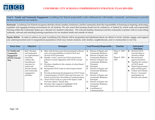<span id="page-34-0"></span>

**Goal 4 – Family and Community Engagement:** Lynchburg City Schools purposefully works collaboratively with families, community, and businesses to provide the best education for our students.

**Rationale:** Lynchburg City Schools recognizes that the schools, families, businesses, and the community share the responsibility of fostering an inspiring, motivating, equitable and engaging learning environment for all students. We also assert that learning should not be confined to or limited by school walls and experiential learning within the community makes up a vital part of a student's education. We welcome families, businesses and the community to partner with us in providing authentic, relevant and enriching learning experiences for our students inside and outside of school.

**Equity Habits:** In order to achieve our goal, Lynchburg City Schools will be purposeful and intentional about our efforts to invite, include, engage, and support any underrepresented and/or marginalized populations which may include students, staff, families, neighborhoods, and/or communities in our City.

| <b>Focus Area</b> | Objective         |    | <b>Strategies</b>                                   |    | Lead Person(s) Responsible | Timeline        |           | Anticipated           |
|-------------------|-------------------|----|-----------------------------------------------------|----|----------------------------|-----------------|-----------|-----------------------|
|                   |                   |    |                                                     |    |                            |                 |           | <b>Outcomes</b>       |
| 4.1 Family and    | 4.1.1 Develop     | A. | Meet with division and school personnel to discuss  | А. | Director of Equity and     | Phase 1: 2019 - | ❖         | <b>Division FACE</b>  |
| Community         | and implement     |    | roles and responsibilities of school FACE and       |    | <b>Community Relations</b> | 2020            |           | Concept Map on        |
| Engagement        | an organizational |    | division FACE personnel                             | В. | Director of Equity and     |                 |           | division website      |
| (FACE) Concept    | chart that        | В. | Identify, review, and revise FACE school board      |    | <b>Community Relations</b> | Phase 2: 2021 - | $\bullet$ | Revised board         |
| Map               | outlines the      |    | policies to ensure alignment with FACE Concept      | C. | Director of Equity and     | 2022            |           | approved policies     |
|                   | foundational      |    | Map                                                 |    | Community Relations,       |                 | ❖         | Timeline for creation |
|                   | structure for     | C. | Develop a timeline for the creation of school-based |    | Principals                 |                 |           | of FACE teams         |
|                   | school and        |    | FACE teams                                          | D. | Principals                 |                 | ❖         | School improvement    |
|                   | division family   | D. | Incorporate FACE Goals in school improvement        |    | Director of Equity and     |                 |           | plans include goals   |
|                   | and community     |    | plans                                               |    | Community Relations,       |                 | ❖         | Culture and Climate   |
|                   | engagement        | Е. | Provide professional development for FACE Teams     |    | Principals                 |                 |           | $Survey = increased$  |
|                   | priorities        | F. | Communication of FACE Goals and Outcomes via        | F. | Director of Equity and     |                 |           | participation for     |
|                   |                   |    | School and Division Newsletters/Communications      |    | Community Relations,       |                 |           | division and schools  |
|                   |                   | G. | Assess FACE Goals as a part of the Equity Audit     |    | Principals                 |                 |           |                       |
|                   |                   |    | Tool and culture/ climate data                      | G. | Director of Equity and     |                 |           |                       |
|                   |                   | Н. | Develop video snippets to highlight FACE            |    | Community Relations,       |                 |           |                       |
|                   |                   |    | achievements and accomplishments                    |    | Principals                 |                 |           |                       |
|                   |                   |    |                                                     | Н. | Coordinator of             |                 |           |                       |
|                   |                   |    |                                                     |    | Communications             |                 |           |                       |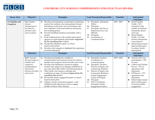<span id="page-35-0"></span>

| <b>Focus Area</b>              | Objective                                                                                                                                | <b>Strategies</b>                                                                                                                                                                                                                                                                                                                                                                                                                                                                                                                                                                                                                                                      | <b>Lead Person(s) Responsible</b>                                                                                                                                                                                                                                                                                                                         | <b>Timeline</b> | Anticipated                                                                                                                                                                                                                                                                                         |
|--------------------------------|------------------------------------------------------------------------------------------------------------------------------------------|------------------------------------------------------------------------------------------------------------------------------------------------------------------------------------------------------------------------------------------------------------------------------------------------------------------------------------------------------------------------------------------------------------------------------------------------------------------------------------------------------------------------------------------------------------------------------------------------------------------------------------------------------------------------|-----------------------------------------------------------------------------------------------------------------------------------------------------------------------------------------------------------------------------------------------------------------------------------------------------------------------------------------------------------|-----------------|-----------------------------------------------------------------------------------------------------------------------------------------------------------------------------------------------------------------------------------------------------------------------------------------------------|
|                                |                                                                                                                                          |                                                                                                                                                                                                                                                                                                                                                                                                                                                                                                                                                                                                                                                                        |                                                                                                                                                                                                                                                                                                                                                           |                 | <b>Outcomes</b>                                                                                                                                                                                                                                                                                     |
| 4.2 Families and<br>Caregivers | <b>4.2.1 Reduce</b><br>chronic<br>absenteeism to<br>less than $8\%$<br>division-wide<br>and in schools                                   | Develop and implement an attendance monitoring<br>A.<br>protocol for students who demonstrated chronic<br>absenteeism in the prior year and students who<br>have obtained 3 unexcused absences during the<br>first marking period<br>Provide identified students and families with a<br>В.<br>mentor<br>Work collaboratively with outside intervention<br>agencies to assist students and families Supported<br>by The Lynchburg Plan Goal 4<br>Incorporate attendance goals in school<br>D.<br>improvement plans<br>Develop video snippets to highlight the importance<br>Е.<br>of school attendance                                                                  | Principals, Attendance<br>A.<br>Officer<br>Principals<br>В.<br>Principals, Director of<br>C.<br>Student Services, City<br><b>Officials</b><br>Principals<br>D.<br>Coordinator of<br>Ε.<br>Communications                                                                                                                                                  | $2019 - 2022$   | School Quality<br>❖<br>Profile = $10\%$<br>reduction in the<br>number of students<br>chronically absent<br>each year<br>School Quality<br>❖<br>Profile = Overall<br>chronic absenteeism<br>is less than $8\%$<br>School improvement<br>❖<br>plans include goals<br>to reduce chronic<br>absenteeism |
|                                | Objective                                                                                                                                | <b>Strategies</b>                                                                                                                                                                                                                                                                                                                                                                                                                                                                                                                                                                                                                                                      | Lead Person(s) Responsible                                                                                                                                                                                                                                                                                                                                | <b>Timeline</b> | Anticipated<br><b>Outcomes</b>                                                                                                                                                                                                                                                                      |
|                                | 4.2.2 Increase<br>the percentage of<br>families and<br>caregivers<br>participating in<br>school and<br>division activities<br>and events | Develop and implement a multilevel<br>A.<br>communication and outreach protocol to inform<br>families and caregivers about activities and events<br>Develop and implement a system to engage<br>В.<br>families and caregivers in dialogue (minimum 4x<br>per year) about their child's educational progress<br>$C_{\cdot}$<br>Offer family and caregiver trainings and<br>workshops on topics of interest Supported by The<br>Lynchburg Plan Goal 4<br>Incorporate family engagement goals in school<br>D.<br>improvement plans<br>Institute a home connection program - early<br>Е.<br>childhood staff make home visits to engage<br>families of future PreK students | A. Principals, Teachers,<br>Coordinator of<br>Communications<br>Principals, Teachers,<br><b>B.</b><br>Director of Equity and<br><b>Community Relations</b><br>Director of Equity and<br>C.<br>Community Relations,<br>Family Engagement<br>Liaison, Principals<br>Principals<br>D.<br>Е.<br>PreK Coordinator,<br>Principals, Family<br>Engagement Liaison | $2019 - 2022$   | ❖<br>Activity and event<br>participation = 50%<br>or more<br>Culture and Climate<br>❖<br>Survey = $75\%$ in<br>agreement with<br>statements<br>VPI Survey = $75\%$<br>❖<br>agreement with<br>statements<br>School improvement<br>❖<br>plans include goals<br>to increase family<br>engagement       |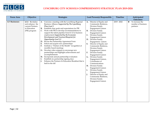<span id="page-36-0"></span>

| <b>Focus Area</b> | Objective                                                                                | <b>Strategies</b>                                                                                                                                                                                                                                                                                                                                                                                                                                                                                                                                                                                                                                                                                                                                                                                                                                                                           | Lead Person(s) Responsible                                                                                                                                                                                                                                                                                                                                                                                                                                                                                                                                                                                                                                                                              | <b>Timeline</b> | Anticipated                                                               |
|-------------------|------------------------------------------------------------------------------------------|---------------------------------------------------------------------------------------------------------------------------------------------------------------------------------------------------------------------------------------------------------------------------------------------------------------------------------------------------------------------------------------------------------------------------------------------------------------------------------------------------------------------------------------------------------------------------------------------------------------------------------------------------------------------------------------------------------------------------------------------------------------------------------------------------------------------------------------------------------------------------------------------|---------------------------------------------------------------------------------------------------------------------------------------------------------------------------------------------------------------------------------------------------------------------------------------------------------------------------------------------------------------------------------------------------------------------------------------------------------------------------------------------------------------------------------------------------------------------------------------------------------------------------------------------------------------------------------------------------------|-----------------|---------------------------------------------------------------------------|
| 4.3 Businesses    | 4.3.1 Revitalize<br>and enhance the<br>current Partners<br>in Education<br>(PIE) program | Convene a meeting with the Lynchburg Regional<br>A.<br>Business Alliance Supported by The Lynchburg<br>Plan Goal 3<br>Establish clear goals and expectations for PIE<br><b>B.</b><br>Work with PIE to develop recommendations to<br>C.<br>support the talent pipeline from K-12 to business<br>employment Supported by the Economic<br>Development and Tourism Blueprint for<br><b>Opportunity Goal 1.2</b><br>D. Revise the Partnership Agreement Form<br>Solicit and acquire new partnerships<br>E.<br>Institute a "Partner of the Month" recognition at<br>F.<br>monthly board meetings<br>G. Develop video snippets to encourage new<br>partnerships and highlight achievements and<br>accomplishments<br>H. Incorporate annual partnership evaluation<br>Establish six partnership signing days<br>I.<br>Enhance the Partners In Education Breakfast that is<br>J.<br>held in the fall | Director of Equity and<br><b>A.</b><br>Community Relations,<br>Division Family<br>Engagement Liaison<br><b>B.</b><br>Division Family<br>Engagement Liaison<br>Division Family<br>C.<br>Engagement Liaison<br>Division Family<br>D.<br>Engagement Liaison<br>Director of Equity and<br>Е.<br>Community Relations,<br>Division Family<br>Engagement Liaison<br>Division Family<br>F <sub>r</sub><br>Engagement Liaison<br>Division Family<br>G.<br>Engagement Liaison,<br>Coordinator of<br>Communications<br>Division Family<br>Н.<br>Engagement Liaison<br>Division Family<br>I.<br>Engagement Liaison<br>Director of Equity and<br>J.<br>Community Relations,<br>Division Family<br>Engagement Liaison | $2019 - 2022$   | <b>Outcomes</b><br>To increase the<br>❖<br>number of business<br>partners |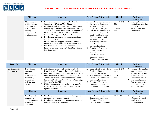<span id="page-37-0"></span>

# **EXAMPLE CS**<br>EXAMPLE CONFINERING CITY SCHOOLS COMPREHENSIVE STRATEGIC PLAN 2019-2024

| Objective                                                                                                            | <b>Strategies</b>                                                                                                                                                                                                                                                                                                                                                                                                                                                                                                                                                                                                                                                    | Lead Person(s) Responsible                                                                                                                                                                                                                                                                                                                                                                                                                                                                                               | Timeline                                           | Anticipated<br><b>Outcomes</b>                                                                        |
|----------------------------------------------------------------------------------------------------------------------|----------------------------------------------------------------------------------------------------------------------------------------------------------------------------------------------------------------------------------------------------------------------------------------------------------------------------------------------------------------------------------------------------------------------------------------------------------------------------------------------------------------------------------------------------------------------------------------------------------------------------------------------------------------------|--------------------------------------------------------------------------------------------------------------------------------------------------------------------------------------------------------------------------------------------------------------------------------------------------------------------------------------------------------------------------------------------------------------------------------------------------------------------------------------------------------------------------|----------------------------------------------------|-------------------------------------------------------------------------------------------------------|
| 4.3.2 Develop<br>and implement<br>new work-based<br>learning and<br>training<br>Initiatives with<br>local businesses | Review and enhance current CTE internships<br>A.<br>Supported by The Lynchburg Plan Goal 1<br>Collaborate with local businesses to supplement<br><b>B.</b><br>the existing curriculum with work-based learning<br>activities and explore new internships Supported<br>by the Economic Development and Tourism<br><b>Blueprint for Opportunity Goal 3.2</b><br>Develop and implement a K-12 career readiness<br>supplemental curriculum<br>Provide additional opportunities for community<br>D.<br>members to share career experiences with students<br>Develop a Special Education Supported<br>Е.<br>Employment plan based on VCU RRTC evidence-<br>based practices | Director of Curriculum and<br>A.<br>Instruction, Career and<br><b>Technical Education</b><br>Supervisor, Principals<br>Director of Curriculum and<br>В.<br>Instruction, Director of<br><b>Equity and Community</b><br>Relations, Career and<br><b>Technical Education</b><br>Supervisor, Principals<br>Director of Student<br>C.<br>Services, Principals<br>Principals, Director of<br>D.<br><b>Equity and Community</b><br>Relations<br>Director of Special<br>Е.<br>Education, Special<br><b>Education Supervisors</b> | Phase 1: 2019 -<br>2020<br>Phase 2: 2021 -<br>2023 | Increase the number<br>❖<br>of students receiving<br>industry<br>certifications and/or<br>credentials |

| <b>Focus Area</b>           | Objective                                                                                                          | <b>Strategies</b>                                                                                                                                                                                                                                                                                                                                                                                                                                                                           | Lead Person(s) Responsible                                                                                                                                                                                                                                                | <b>Timeline</b>                                    | Anticipated<br><b>Outcomes</b>                                                                                                                                                                               |
|-----------------------------|--------------------------------------------------------------------------------------------------------------------|---------------------------------------------------------------------------------------------------------------------------------------------------------------------------------------------------------------------------------------------------------------------------------------------------------------------------------------------------------------------------------------------------------------------------------------------------------------------------------------------|---------------------------------------------------------------------------------------------------------------------------------------------------------------------------------------------------------------------------------------------------------------------------|----------------------------------------------------|--------------------------------------------------------------------------------------------------------------------------------------------------------------------------------------------------------------|
| 4.4 Community<br>Engagement | 4.4.1 Support<br>students and<br>staff<br>participation in<br>community<br>educational<br>activities and<br>events | Attend community events in alignment with<br>A.<br>Lynchburg City Schools' educational priorities.<br>Participate in community focus groups to provide<br>В.<br>input and feedback related to Lynchburg City<br>Schools' educational priorities Supported by the<br><b>Economic Development and Tourism Blueprint for</b><br><b>Opportunity Goal 2.3</b><br>Utilize community centers to host programs for<br>C.<br>students, staff, and families Supported by The<br>Lynchburg Plan Goal 4 | Superintendent, Director of<br>A.<br><b>Equity and Community</b><br>Relations, Principals<br>Superintendent, Director of<br>В.<br><b>Equity and Community</b><br>Relations, Principals<br>Director of Equity and<br>C.<br>Community Relations,<br>Division Family Liaison | Phase 1: 2019 -<br>2020<br>Phase 2: 2021 -<br>2022 | ❖<br>Increase the number<br>and representation<br>of students and staff<br>participating in<br>community events<br>Increase alignment<br>❖<br>between and better<br>utilization of city-<br>school resources |
|                             | Objective                                                                                                          | <b>Strategies</b>                                                                                                                                                                                                                                                                                                                                                                                                                                                                           | Lead Person(s) Responsible                                                                                                                                                                                                                                                | <b>Timeline</b>                                    | Anticipated<br><b>Outcomes</b>                                                                                                                                                                               |
|                             | 4.4.2 Support<br>community<br>involvement and<br>engagement in<br>our schools                                      | Develop and implement a community-supported<br>A.<br>mentoring program for students<br>Develop and implement a community-supported<br><b>B.</b><br>tutoring program for students                                                                                                                                                                                                                                                                                                            | Director of Equity and<br>A.<br>Community Relations,<br>Director of Student<br>Services, Division Family                                                                                                                                                                  | $2019 - 2022$                                      | ❖<br>Mentoring -<br>Decrease in negative<br>student behaviors,<br>increase in positive                                                                                                                       |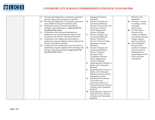

| C. | Develop and implement a community-supported        |           | Engagement Liaison,            |   | behaviors and         |
|----|----------------------------------------------------|-----------|--------------------------------|---|-----------------------|
|    | post-secondary plans program for students          |           | Principals                     |   | attendance            |
|    | D. Develop and implement a community-supported     | <b>B.</b> | Director of Equity and         | ❖ | Tutoring - Increase   |
|    | early childhood and pre-K readiness plan           |           | Community Relations,           |   | in reading, writing   |
| E. | Participate in joint City-School department        |           | Director of Curriculum and     |   | and math              |
|    | initiatives and collaborations Supported by The    |           | Instruction, Division          |   | achievement           |
|    | Lynchburg Plan Goal 3                              |           | Family Engagement              | ❖ | Post-Secondary -      |
| F. | Collaborate with faith-based institutions to       |           | Liaison, Principals            |   | Increase in the       |
|    | implement non-secular programs aligned with        | C.        | Director of Equity and         |   | number of students    |
|    | Lynchburg City Schools' educational priorities     |           | Community Relations,           |   | successfully entering |
|    | G. Collaborate with colleges and universities to   |           | Director of Student            |   | college, military,    |
|    | implement programs aligned with Lynchburg City     |           | Services, Division Family      |   | and/or workforce      |
|    | Schools' educational priorities                    |           | Engagement Liaison,            | ❖ | Early Childhood -     |
|    | H. Collaborate with community service providers to |           | Principals                     |   | Increase in the       |
|    | implement programs aligned with Lynchburg City     |           | D. Director of Equity and      |   | number of students    |
|    | Schools' educational priorities Supported by The   |           | Community Relations,           |   | who are ready for     |
|    | Lynchburg Plan Goal 3                              |           | Director of Special            |   | Kindergarten as       |
|    |                                                    |           | Education, PreK                |   | demonstrated on the   |
|    |                                                    |           | Coordinator, Division          |   | PALS and other        |
|    |                                                    |           | Family Engagement              |   | assessments           |
|    |                                                    |           | Liaison, Principals            |   |                       |
|    |                                                    | Е.        | Superintendent, Director of    |   |                       |
|    |                                                    |           | <b>Equity and Community</b>    |   |                       |
|    |                                                    |           | Relations                      |   |                       |
|    |                                                    | F.        | Superintendent, Director of    |   |                       |
|    |                                                    |           | <b>Equity and Community</b>    |   |                       |
|    |                                                    |           | Relations, Division Family     |   |                       |
|    |                                                    |           | <b>Engagement Liaison</b>      |   |                       |
|    |                                                    | G.        | Superintendent, Director       |   |                       |
|    |                                                    |           | Curriculum and                 |   |                       |
|    |                                                    |           | Instruction, Director of       |   |                       |
|    |                                                    |           | Human Resources, Director      |   |                       |
|    |                                                    |           | of Equity and Community        |   |                       |
|    |                                                    |           | Relations                      |   |                       |
|    |                                                    |           | H. Superintendent, Director of |   |                       |
|    |                                                    |           | Student Services, Director     |   |                       |
|    |                                                    |           | of Equity and Community        |   |                       |
|    |                                                    |           | Relations                      |   |                       |